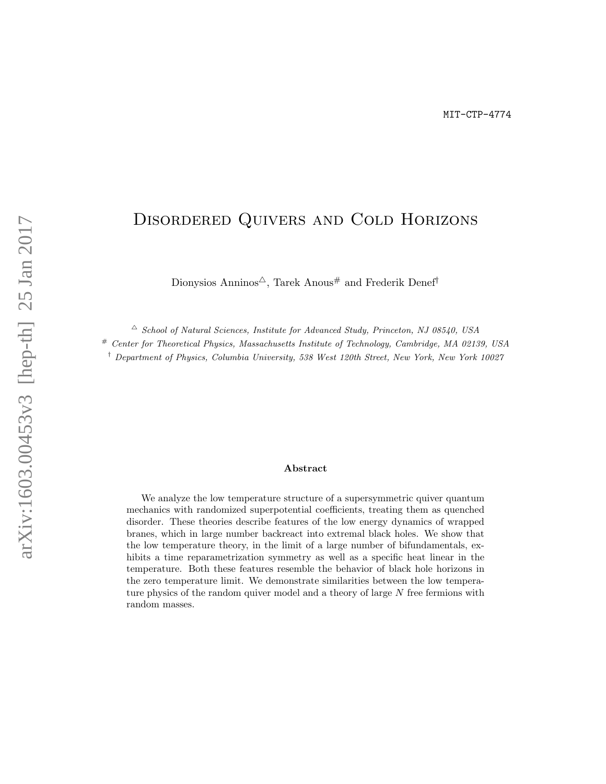# Disordered Quivers and Cold Horizons

Dionysios Anninos<sup> $\triangle$ </sup>, Tarek Anous# and Frederik Denef<sup>†</sup>

 $\triangle$  School of Natural Sciences, Institute for Advanced Study, Princeton, NJ 08540, USA

# Center for Theoretical Physics, Massachusetts Institute of Technology, Cambridge, MA 02139, USA

† Department of Physics, Columbia University, 538 West 120th Street, New York, New York 10027

#### Abstract

We analyze the low temperature structure of a supersymmetric quiver quantum mechanics with randomized superpotential coefficients, treating them as quenched disorder. These theories describe features of the low energy dynamics of wrapped branes, which in large number backreact into extremal black holes. We show that the low temperature theory, in the limit of a large number of bifundamentals, exhibits a time reparametrization symmetry as well as a specific heat linear in the temperature. Both these features resemble the behavior of black hole horizons in the zero temperature limit. We demonstrate similarities between the low temperature physics of the random quiver model and a theory of large N free fermions with random masses.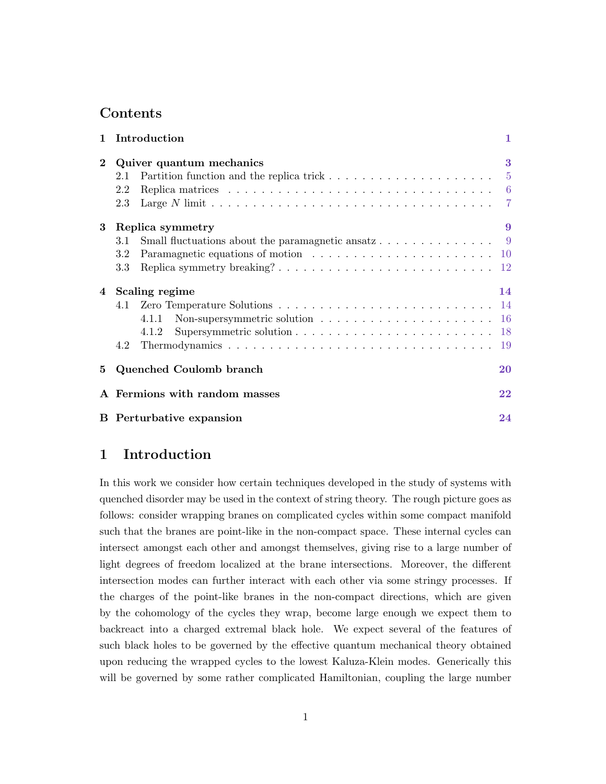# Contents

|             | 1 Introduction                                                                                                                                                                                                                                                                                                 | 1         |
|-------------|----------------------------------------------------------------------------------------------------------------------------------------------------------------------------------------------------------------------------------------------------------------------------------------------------------------|-----------|
| $\bf{2}$    | Quiver quantum mechanics<br>2.1<br>Replica matrices $\ldots \ldots \ldots \ldots \ldots \ldots \ldots \ldots \ldots \ldots \ldots$<br>2.2                                                                                                                                                                      | 3         |
| $\bf{3}$    | Large N limit $\ldots \ldots \ldots \ldots \ldots \ldots \ldots \ldots \ldots \ldots \ldots \ldots$<br>2.3<br>Replica symmetry<br>Small fluctuations about the paramagnetic ansatz 9<br>3.1<br>Paramagnetic equations of motion $\ldots \ldots \ldots \ldots \ldots \ldots \ldots \ldots 10$<br>3.2<br>$3.3\,$ | 9         |
|             | 4 Scaling regime<br>4.1<br>Non-supersymmetric solution $\ldots \ldots \ldots \ldots \ldots \ldots \ldots 16$<br>4.1.1<br>4.1.2<br>4.2                                                                                                                                                                          | 14        |
| $5^{\circ}$ | Quenched Coulomb branch                                                                                                                                                                                                                                                                                        | <b>20</b> |
|             | A Fermions with random masses                                                                                                                                                                                                                                                                                  | 22        |
|             | <b>B</b> Perturbative expansion                                                                                                                                                                                                                                                                                | 24        |

# <span id="page-1-0"></span>1 Introduction

In this work we consider how certain techniques developed in the study of systems with quenched disorder may be used in the context of string theory. The rough picture goes as follows: consider wrapping branes on complicated cycles within some compact manifold such that the branes are point-like in the non-compact space. These internal cycles can intersect amongst each other and amongst themselves, giving rise to a large number of light degrees of freedom localized at the brane intersections. Moreover, the different intersection modes can further interact with each other via some stringy processes. If the charges of the point-like branes in the non-compact directions, which are given by the cohomology of the cycles they wrap, become large enough we expect them to backreact into a charged extremal black hole. We expect several of the features of such black holes to be governed by the effective quantum mechanical theory obtained upon reducing the wrapped cycles to the lowest Kaluza-Klein modes. Generically this will be governed by some rather complicated Hamiltonian, coupling the large number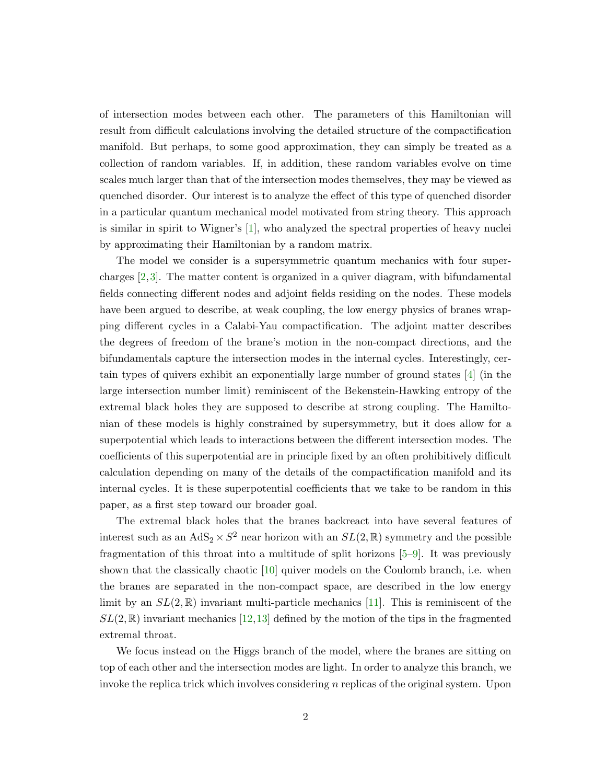of intersection modes between each other. The parameters of this Hamiltonian will result from difficult calculations involving the detailed structure of the compactification manifold. But perhaps, to some good approximation, they can simply be treated as a collection of random variables. If, in addition, these random variables evolve on time scales much larger than that of the intersection modes themselves, they may be viewed as quenched disorder. Our interest is to analyze the effect of this type of quenched disorder in a particular quantum mechanical model motivated from string theory. This approach is similar in spirit to Wigner's [\[1\]](#page-25-0), who analyzed the spectral properties of heavy nuclei by approximating their Hamiltonian by a random matrix.

The model we consider is a supersymmetric quantum mechanics with four supercharges [\[2,](#page-25-1)[3\]](#page-25-2). The matter content is organized in a quiver diagram, with bifundamental fields connecting different nodes and adjoint fields residing on the nodes. These models have been argued to describe, at weak coupling, the low energy physics of branes wrapping different cycles in a Calabi-Yau compactification. The adjoint matter describes the degrees of freedom of the brane's motion in the non-compact directions, and the bifundamentals capture the intersection modes in the internal cycles. Interestingly, certain types of quivers exhibit an exponentially large number of ground states [\[4\]](#page-25-3) (in the large intersection number limit) reminiscent of the Bekenstein-Hawking entropy of the extremal black holes they are supposed to describe at strong coupling. The Hamiltonian of these models is highly constrained by supersymmetry, but it does allow for a superpotential which leads to interactions between the different intersection modes. The coefficients of this superpotential are in principle fixed by an often prohibitively difficult calculation depending on many of the details of the compactification manifold and its internal cycles. It is these superpotential coefficients that we take to be random in this paper, as a first step toward our broader goal.

The extremal black holes that the branes backreact into have several features of interest such as an  $AdS_2 \times S^2$  near horizon with an  $SL(2,\mathbb{R})$  symmetry and the possible fragmentation of this throat into a multitude of split horizons [\[5–](#page-25-4)[9\]](#page-25-5). It was previously shown that the classically chaotic [\[10\]](#page-25-6) quiver models on the Coulomb branch, i.e. when the branes are separated in the non-compact space, are described in the low energy limit by an  $SL(2,\mathbb{R})$  invariant multi-particle mechanics [\[11\]](#page-26-0). This is reminiscent of the  $SL(2,\mathbb{R})$  invariant mechanics [\[12,](#page-26-1)[13\]](#page-26-2) defined by the motion of the tips in the fragmented extremal throat.

We focus instead on the Higgs branch of the model, where the branes are sitting on top of each other and the intersection modes are light. In order to analyze this branch, we invoke the replica trick which involves considering  $n$  replicas of the original system. Upon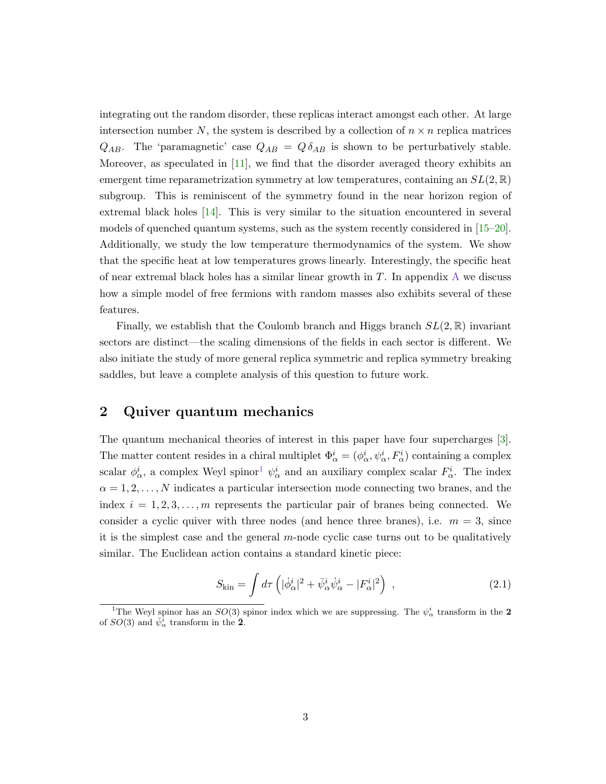integrating out the random disorder, these replicas interact amongst each other. At large intersection number N, the system is described by a collection of  $n \times n$  replica matrices  $Q_{AB}$ . The 'paramagnetic' case  $Q_{AB} = Q \delta_{AB}$  is shown to be perturbatively stable. Moreover, as speculated in [\[11\]](#page-26-0), we find that the disorder averaged theory exhibits an emergent time reparametrization symmetry at low temperatures, containing an  $SL(2,\mathbb{R})$ subgroup. This is reminiscent of the symmetry found in the near horizon region of extremal black holes [\[14\]](#page-26-3). This is very similar to the situation encountered in several models of quenched quantum systems, such as the system recently considered in [\[15–](#page-26-4)[20\]](#page-26-5). Additionally, we study the low temperature thermodynamics of the system. We show that the specific heat at low temperatures grows linearly. Interestingly, the specific heat of near extremal black holes has a similar linear growth in  $T$ . In appendix  $A$  we discuss how a simple model of free fermions with random masses also exhibits several of these features.

Finally, we establish that the Coulomb branch and Higgs branch  $SL(2,\mathbb{R})$  invariant sectors are distinct—the scaling dimensions of the fields in each sector is different. We also initiate the study of more general replica symmetric and replica symmetry breaking saddles, but leave a complete analysis of this question to future work.

### <span id="page-3-0"></span>2 Quiver quantum mechanics

The quantum mechanical theories of interest in this paper have four supercharges [\[3\]](#page-25-2). The matter content resides in a chiral multiplet  $\Phi^i_\alpha = (\phi^i_\alpha, \psi^i_\alpha, F^i_\alpha)$  containing a complex scalar  $\phi^i_\alpha$ , a complex Weyl spinor<sup>[1](#page-3-1)</sup>  $\psi^i_\alpha$  and an auxiliary complex scalar  $F^i_\alpha$ . The index  $\alpha = 1, 2, \ldots, N$  indicates a particular intersection mode connecting two branes, and the index  $i = 1, 2, 3, \ldots, m$  represents the particular pair of branes being connected. We consider a cyclic quiver with three nodes (and hence three branes), i.e.  $m = 3$ , since it is the simplest case and the general  $m$ -node cyclic case turns out to be qualitatively similar. The Euclidean action contains a standard kinetic piece:

<span id="page-3-2"></span>
$$
S_{\rm kin} = \int d\tau \left( |\dot{\phi}^i_{\alpha}|^2 + \bar{\psi}^i_{\alpha} \dot{\psi}^i_{\alpha} - |F^i_{\alpha}|^2 \right) , \qquad (2.1)
$$

<span id="page-3-1"></span><sup>&</sup>lt;sup>1</sup>The Weyl spinor has an  $SO(3)$  spinor index which we are suppressing. The  $\psi^i_\alpha$  transform in the 2 of  $SO(3)$  and  $\bar{\psi}_{\alpha}^{\bar{i}}$  transform in the  $\bar{2}$ .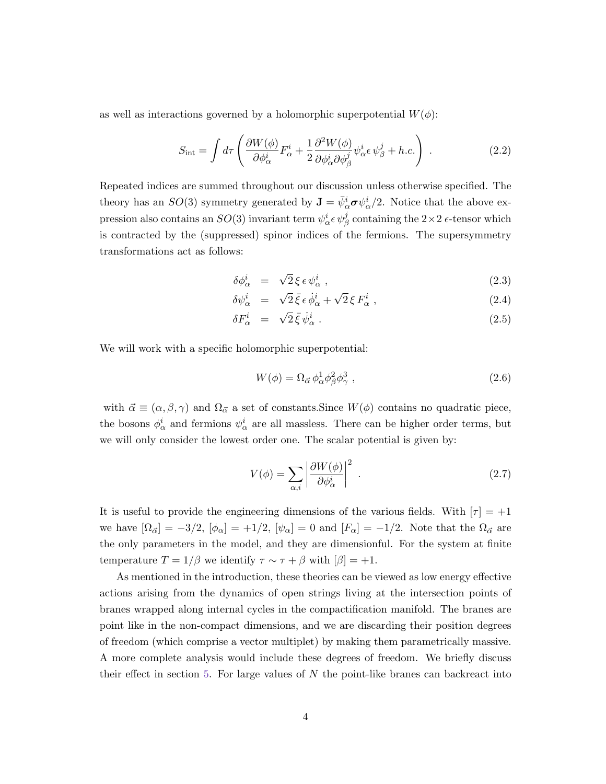as well as interactions governed by a holomorphic superpotential  $W(\phi)$ :

$$
S_{\rm int} = \int d\tau \left( \frac{\partial W(\phi)}{\partial \phi_{\alpha}^{i}} F_{\alpha}^{i} + \frac{1}{2} \frac{\partial^{2} W(\phi)}{\partial \phi_{\alpha}^{i} \partial \phi_{\beta}^{j}} \psi_{\alpha}^{i} \epsilon \psi_{\beta}^{j} + h.c. \right) \tag{2.2}
$$

Repeated indices are summed throughout our discussion unless otherwise specified. The theory has an  $SO(3)$  symmetry generated by  $\mathbf{J} = \bar{\psi}_{\alpha}^{i} \boldsymbol{\sigma} \psi_{\alpha}^{i}/2$ . Notice that the above expression also contains an  $SO(3)$  invariant term  $\psi^i_\alpha \epsilon \psi^j_\beta$  containing the  $2 \times 2$   $\epsilon$ -tensor which is contracted by the (suppressed) spinor indices of the fermions. The supersymmetry transformations act as follows:

$$
\delta \phi^i_\alpha = \sqrt{2} \, \xi \, \epsilon \, \psi^i_\alpha \,, \tag{2.3}
$$

$$
\delta \psi_{\alpha}^{i} = \sqrt{2} \bar{\xi} \epsilon \dot{\phi}_{\alpha}^{i} + \sqrt{2} \xi F_{\alpha}^{i} , \qquad (2.4)
$$

$$
\delta F_{\alpha}^{i} = \sqrt{2} \bar{\xi} \dot{\psi}_{\alpha}^{i} . \qquad (2.5)
$$

We will work with a specific holomorphic superpotential:

$$
W(\phi) = \Omega_{\vec{\alpha}} \phi_{\alpha}^1 \phi_{\beta}^2 \phi_{\gamma}^3 , \qquad (2.6)
$$

with  $\vec{\alpha} \equiv (\alpha, \beta, \gamma)$  and  $\Omega_{\vec{\alpha}}$  a set of constants. Since  $W(\phi)$  contains no quadratic piece, the bosons  $\phi^i_\alpha$  and fermions  $\psi^i_\alpha$  are all massless. There can be higher order terms, but we will only consider the lowest order one. The scalar potential is given by:

$$
V(\phi) = \sum_{\alpha,i} \left| \frac{\partial W(\phi)}{\partial \phi_{\alpha}^i} \right|^2 \tag{2.7}
$$

It is useful to provide the engineering dimensions of the various fields. With  $|\tau| = +1$ we have  $[\Omega_{\vec{\alpha}}] = -3/2$ ,  $[\phi_{\alpha}] = +1/2$ ,  $[\psi_{\alpha}] = 0$  and  $[F_{\alpha}] = -1/2$ . Note that the  $\Omega_{\vec{\alpha}}$  are the only parameters in the model, and they are dimensionful. For the system at finite temperature  $T = 1/\beta$  we identify  $\tau \sim \tau + \beta$  with  $[\beta] = +1$ .

As mentioned in the introduction, these theories can be viewed as low energy effective actions arising from the dynamics of open strings living at the intersection points of branes wrapped along internal cycles in the compactification manifold. The branes are point like in the non-compact dimensions, and we are discarding their position degrees of freedom (which comprise a vector multiplet) by making them parametrically massive. A more complete analysis would include these degrees of freedom. We briefly discuss their effect in section [5.](#page-20-0) For large values of  $N$  the point-like branes can backreact into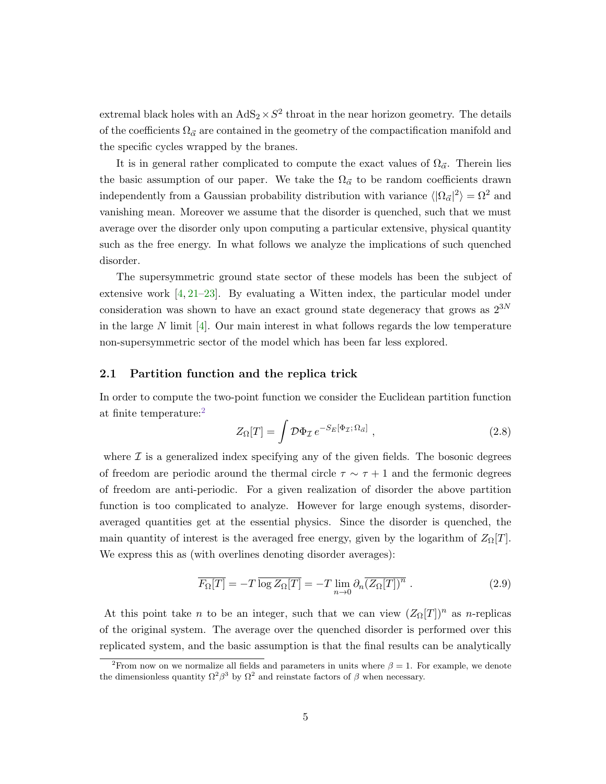extremal black holes with an  $AdS_2 \times S^2$  throat in the near horizon geometry. The details of the coefficients  $\Omega_{\vec{\alpha}}$  are contained in the geometry of the compactification manifold and the specific cycles wrapped by the branes.

It is in general rather complicated to compute the exact values of  $\Omega_{\vec{\alpha}}$ . Therein lies the basic assumption of our paper. We take the  $\Omega_{\vec{\alpha}}$  to be random coefficients drawn independently from a Gaussian probability distribution with variance  $\langle |\Omega_{\vec{\alpha}}|^2 \rangle = \Omega^2$  and vanishing mean. Moreover we assume that the disorder is quenched, such that we must average over the disorder only upon computing a particular extensive, physical quantity such as the free energy. In what follows we analyze the implications of such quenched disorder.

The supersymmetric ground state sector of these models has been the subject of extensive work [\[4,](#page-25-3) [21–](#page-26-6)[23\]](#page-27-0). By evaluating a Witten index, the particular model under consideration was shown to have an exact ground state degeneracy that grows as  $2^{3N}$ in the large N limit  $[4]$ . Our main interest in what follows regards the low temperature non-supersymmetric sector of the model which has been far less explored.

#### <span id="page-5-0"></span>2.1 Partition function and the replica trick

In order to compute the two-point function we consider the Euclidean partition function at finite temperature:[2](#page-5-1)

$$
Z_{\Omega}[T] = \int \mathcal{D}\Phi_{\mathcal{I}} e^{-S_E[\Phi_{\mathcal{I}};\Omega_{\vec{\alpha}}]} \,, \tag{2.8}
$$

where  $\mathcal I$  is a generalized index specifying any of the given fields. The bosonic degrees of freedom are periodic around the thermal circle  $\tau \sim \tau + 1$  and the fermonic degrees of freedom are anti-periodic. For a given realization of disorder the above partition function is too complicated to analyze. However for large enough systems, disorderaveraged quantities get at the essential physics. Since the disorder is quenched, the main quantity of interest is the averaged free energy, given by the logarithm of  $Z_{\Omega}[T]$ . We express this as (with overlines denoting disorder averages):

$$
\overline{F_{\Omega}[T]} = -T \overline{\log Z_{\Omega}[T]} = -T \lim_{n \to 0} \partial_n \overline{(Z_{\Omega}[T])^n} . \qquad (2.9)
$$

At this point take *n* to be an integer, such that we can view  $(Z_{\Omega}[T])^n$  as *n*-replicas of the original system. The average over the quenched disorder is performed over this replicated system, and the basic assumption is that the final results can be analytically

<span id="page-5-1"></span><sup>&</sup>lt;sup>2</sup>From now on we normalize all fields and parameters in units where  $\beta = 1$ . For example, we denote the dimensionless quantity  $\Omega^2 \beta^3$  by  $\Omega^2$  and reinstate factors of  $\beta$  when necessary.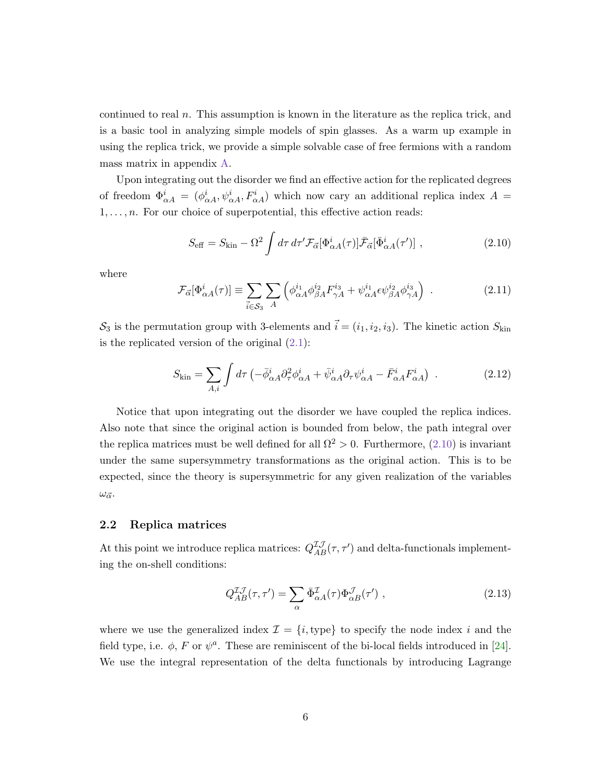continued to real  $n$ . This assumption is known in the literature as the replica trick, and is a basic tool in analyzing simple models of spin glasses. As a warm up example in using the replica trick, we provide a simple solvable case of free fermions with a random mass matrix in appendix [A.](#page-22-0)

Upon integrating out the disorder we find an effective action for the replicated degrees of freedom  $\Phi_{\alpha A}^i = (\phi_{\alpha A}^i, \psi_{\alpha A}^i, F_{\alpha A}^i)$  which now cary an additional replica index  $A =$  $1, \ldots, n$ . For our choice of superpotential, this effective action reads:

<span id="page-6-1"></span>
$$
S_{\text{eff}} = S_{\text{kin}} - \Omega^2 \int d\tau \, d\tau' \mathcal{F}_{\vec{\alpha}}[\Phi^i_{\alpha A}(\tau)] \bar{\mathcal{F}}_{\vec{\alpha}}[\bar{\Phi}^i_{\alpha A}(\tau')] \;, \tag{2.10}
$$

where

$$
\mathcal{F}_{\vec{\alpha}}[\Phi_{\alpha A}^{i}(\tau)] \equiv \sum_{\vec{i}\in\mathcal{S}_{3}} \sum_{A} \left( \phi_{\alpha A}^{i_{1}} \phi_{\beta A}^{i_{2}} F_{\gamma A}^{i_{3}} + \psi_{\alpha A}^{i_{1}} \epsilon \psi_{\beta A}^{i_{2}} \phi_{\gamma A}^{i_{3}} \right) . \tag{2.11}
$$

 $S_3$  is the permutation group with 3-elements and  $\vec{i} = (i_1, i_2, i_3)$ . The kinetic action  $S_{\text{kin}}$ is the replicated version of the original  $(2.1)$ :

<span id="page-6-2"></span>
$$
S_{\rm kin} = \sum_{A,i} \int d\tau \left( -\bar{\phi}^i_{\alpha A} \partial^2_{\tau} \phi^i_{\alpha A} + \bar{\psi}^i_{\alpha A} \partial_{\tau} \psi^i_{\alpha A} - \bar{F}^i_{\alpha A} F^i_{\alpha A} \right) \tag{2.12}
$$

Notice that upon integrating out the disorder we have coupled the replica indices. Also note that since the original action is bounded from below, the path integral over the replica matrices must be well defined for all  $\Omega^2 > 0$ . Furthermore, [\(2.10\)](#page-6-1) is invariant under the same supersymmetry transformations as the original action. This is to be expected, since the theory is supersymmetric for any given realization of the variables  $\omega_{\vec{\alpha}}$ .

#### <span id="page-6-0"></span>2.2 Replica matrices

At this point we introduce replica matrices:  $Q_{AB}^{\mathcal{I}\mathcal{J}}(\tau,\tau')$  and delta-functionals implementing the on-shell conditions:

$$
Q_{AB}^{\mathcal{I}\mathcal{J}}(\tau,\tau') = \sum_{\alpha} \bar{\Phi}_{\alpha A}^{\mathcal{I}}(\tau) \Phi_{\alpha B}^{\mathcal{J}}(\tau') , \qquad (2.13)
$$

where we use the generalized index  $\mathcal{I} = \{i, \text{type}\}\$  to specify the node index i and the field type, i.e.  $\phi$ , F or  $\psi^a$ . These are reminiscent of the bi-local fields introduced in [\[24\]](#page-27-1). We use the integral representation of the delta functionals by introducing Lagrange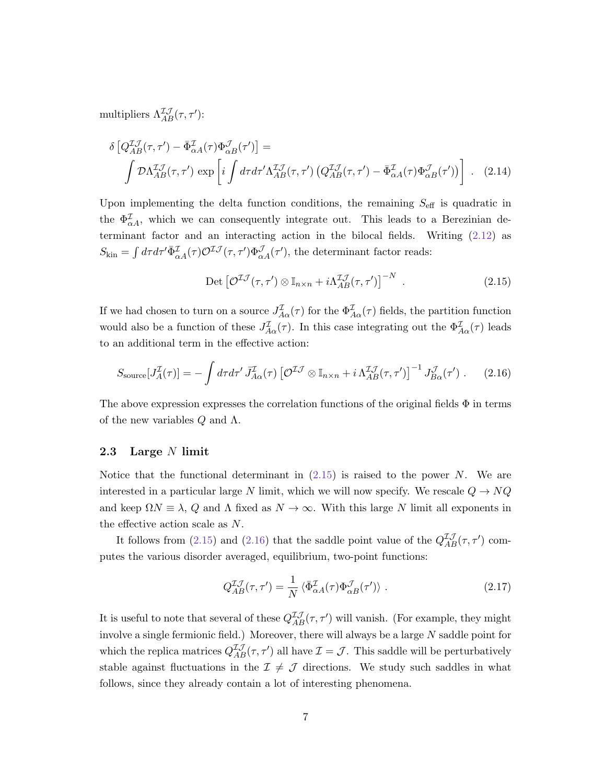multipliers  $\Lambda_{AB}^{\mathcal{I}\mathcal{J}}(\tau,\tau')$ :

$$
\delta \left[ Q_{AB}^{\mathcal{I}\mathcal{J}}(\tau,\tau') - \bar{\Phi}_{\alpha A}^{\mathcal{I}}(\tau) \Phi_{\alpha B}^{\mathcal{J}}(\tau') \right] =
$$
\n
$$
\int \mathcal{D} \Lambda_{AB}^{\mathcal{I}\mathcal{J}}(\tau,\tau') \exp \left[ i \int d\tau d\tau' \Lambda_{AB}^{\mathcal{I}\mathcal{J}}(\tau,\tau') \left( Q_{AB}^{\mathcal{I}\mathcal{J}}(\tau,\tau') - \bar{\Phi}_{\alpha A}^{\mathcal{I}}(\tau) \Phi_{\alpha B}^{\mathcal{J}}(\tau') \right) \right] \ . \tag{2.14}
$$

Upon implementing the delta function conditions, the remaining  $S_{\text{eff}}$  is quadratic in the  $\Phi_{\alpha}^{\mathcal{I}}$ , which we can consequently integrate out. This leads to a Berezinian determinant factor and an interacting action in the bilocal fields. Writing [\(2.12\)](#page-6-2) as  $S_{\text{kin}} = \int d\tau d\tau' \bar{\Phi}^{\mathcal{I}}_{\alpha A}(\tau) \mathcal{O}^{\mathcal{I}\mathcal{J}}(\tau, \tau') \Phi^{\mathcal{J}}_{\alpha A}(\tau'),$  the determinant factor reads:

<span id="page-7-1"></span>
$$
\text{Det}\left[\mathcal{O}^{\mathcal{I}\mathcal{J}}(\tau,\tau')\otimes\mathbb{I}_{n\times n}+i\Lambda_{AB}^{\mathcal{I}\mathcal{J}}(\tau,\tau')\right]^{-N}.
$$
\n(2.15)

If we had chosen to turn on a source  $J_{A\alpha}^{\mathcal{I}}(\tau)$  for the  $\Phi_{A\alpha}^{\mathcal{I}}(\tau)$  fields, the partition function would also be a function of these  $J_{A\alpha}^{\mathcal{I}}(\tau)$ . In this case integrating out the  $\Phi_{A\alpha}^{\mathcal{I}}(\tau)$  leads to an additional term in the effective action:

<span id="page-7-2"></span>
$$
S_{\text{source}}[J_A^{\mathcal{I}}(\tau)] = -\int d\tau d\tau' \,\bar{J}_{A\alpha}^{\mathcal{I}}(\tau) \left[ \mathcal{O}^{\mathcal{I}\mathcal{J}} \otimes \mathbb{I}_{n \times n} + i \,\Lambda_{AB}^{\mathcal{I}\mathcal{J}}(\tau, \tau') \right]^{-1} J_{B\alpha}^{\mathcal{J}}(\tau') \; . \tag{2.16}
$$

The above expression expresses the correlation functions of the original fields  $\Phi$  in terms of the new variables  $Q$  and  $\Lambda$ .

#### <span id="page-7-0"></span>2.3 Large N limit

Notice that the functional determinant in  $(2.15)$  is raised to the power N. We are interested in a particular large N limit, which we will now specify. We rescale  $Q \to NQ$ and keep  $\Omega N \equiv \lambda$ , Q and  $\Lambda$  fixed as  $N \to \infty$ . With this large N limit all exponents in the effective action scale as N.

It follows from [\(2.15\)](#page-7-1) and [\(2.16\)](#page-7-2) that the saddle point value of the  $Q_{AB}^{\mathcal{I}}(\tau, \tau')$  computes the various disorder averaged, equilibrium, two-point functions:

$$
Q_{AB}^{\mathcal{I}\mathcal{J}}(\tau,\tau') = \frac{1}{N} \langle \bar{\Phi}_{\alpha A}^{\mathcal{I}}(\tau) \Phi_{\alpha B}^{\mathcal{J}}(\tau') \rangle . \qquad (2.17)
$$

It is useful to note that several of these  $Q_{AB}^{\mathcal{IJ}}(\tau, \tau')$  will vanish. (For example, they might involve a single fermionic field.) Moreover, there will always be a large  $N$  saddle point for which the replica matrices  $Q_{AB}^{\mathcal{I}\mathcal{J}}(\tau,\tau')$  all have  $\mathcal{I}=\mathcal{J}$ . This saddle will be perturbatively stable against fluctuations in the  $\mathcal{I} \neq \mathcal{J}$  directions. We study such saddles in what follows, since they already contain a lot of interesting phenomena.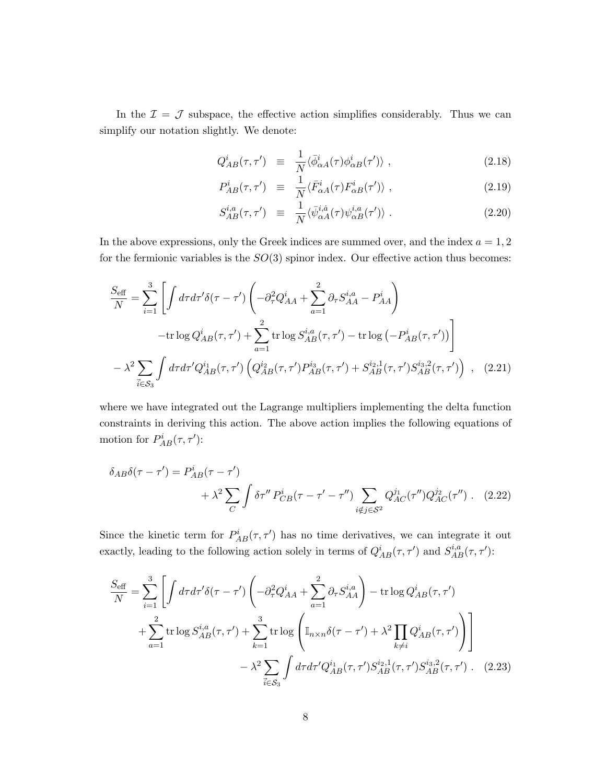In the  $\mathcal{I} = \mathcal{J}$  subspace, the effective action simplifies considerably. Thus we can simplify our notation slightly. We denote:

$$
Q_{AB}^{i}(\tau,\tau') \equiv \frac{1}{N} \langle \bar{\phi}_{\alpha A}^{i}(\tau) \phi_{\alpha B}^{i}(\tau') \rangle , \qquad (2.18)
$$

$$
P_{AB}^{i}(\tau,\tau') \equiv \frac{1}{N} \langle \bar{F}_{\alpha A}^{i}(\tau) F_{\alpha B}^{i}(\tau') \rangle , \qquad (2.19)
$$

$$
S_{AB}^{i,a}(\tau,\tau') \equiv \frac{1}{N} \langle \bar{\psi}_{\alpha A}^{i,a}(\tau) \psi_{\alpha B}^{i,a}(\tau') \rangle . \tag{2.20}
$$

In the above expressions, only the Greek indices are summed over, and the index  $a = 1, 2$ for the fermionic variables is the  $SO(3)$  spinor index. Our effective action thus becomes:

$$
\frac{S_{\text{eff}}}{N} = \sum_{i=1}^{3} \left[ \int d\tau d\tau' \delta(\tau - \tau') \left( -\partial_{\tau}^{2} Q_{AA}^{i} + \sum_{a=1}^{2} \partial_{\tau} S_{AA}^{i,a} - P_{AA}^{i} \right) \right.\left. - \text{tr} \log Q_{AB}^{i}(\tau, \tau') + \sum_{a=1}^{2} \text{tr} \log S_{AB}^{i,a}(\tau, \tau') - \text{tr} \log \left( -P_{AB}^{i}(\tau, \tau') \right) \right.\left. - \lambda^{2} \sum_{\vec{i} \in S_{3}} \int d\tau d\tau' Q_{AB}^{i_{1}}(\tau, \tau') \left( Q_{AB}^{i_{2}}(\tau, \tau') P_{AB}^{i_{3}}(\tau, \tau') + S_{AB}^{i_{2,1}}(\tau, \tau') S_{AB}^{i_{3,2}}(\tau, \tau') \right) , \quad (2.21)
$$

where we have integrated out the Lagrange multipliers implementing the delta function constraints in deriving this action. The above action implies the following equations of motion for  $P_{AB}^i(\tau, \tau')$ :

$$
\delta_{AB}\delta(\tau - \tau') = P_{AB}^{i}(\tau - \tau') + \lambda^{2} \sum_{C} \int \delta\tau'' P_{CB}^{i}(\tau - \tau' - \tau'') \sum_{i \notin j \in S^{2}} Q_{AC}^{j_{1}}(\tau'') Q_{AC}^{j_{2}}(\tau'') . \quad (2.22)
$$

Since the kinetic term for  $P_{AB}^i(\tau, \tau')$  has no time derivatives, we can integrate it out exactly, leading to the following action solely in terms of  $Q_{AB}^i(\tau, \tau')$  and  $S_{AB}^{i,a}(\tau, \tau')$ :

<span id="page-8-0"></span>
$$
\frac{S_{\text{eff}}}{N} = \sum_{i=1}^{3} \left[ \int d\tau d\tau' \delta(\tau - \tau') \left( -\partial_{\tau}^{2} Q_{AA}^{i} + \sum_{a=1}^{2} \partial_{\tau} S_{AA}^{i,a} \right) - \text{tr} \log Q_{AB}^{i}(\tau, \tau') \right. \\
\left. + \sum_{a=1}^{2} \text{tr} \log S_{AB}^{i,a}(\tau, \tau') + \sum_{k=1}^{3} \text{tr} \log \left( \mathbb{I}_{n \times n} \delta(\tau - \tau') + \lambda^{2} \prod_{k \neq i} Q_{AB}^{i}(\tau, \tau') \right) \right] \\
\left. - \lambda^{2} \sum_{i \in S_{3}} \int d\tau d\tau' Q_{AB}^{i_{1}}(\tau, \tau') S_{AB}^{i_{2,1}}(\tau, \tau') S_{AB}^{i_{3,2}}(\tau, \tau') . \quad (2.23)
$$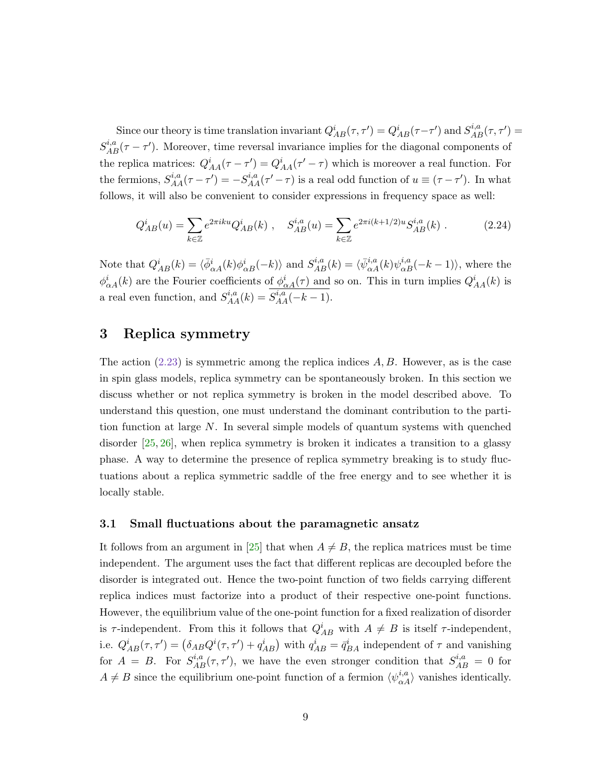Since our theory is time translation invariant  $Q_{AB}^i(\tau, \tau') = Q_{AB}^i(\tau - \tau')$  and  $S_{AB}^{i,a}(\tau, \tau') =$  $S_{AB}^{i,a}(\tau - \tau')$ . Moreover, time reversal invariance implies for the diagonal components of the replica matrices:  $Q_{AA}^i(\tau - \tau') = Q_{AA}^i(\tau' - \tau)$  which is moreover a real function. For the fermions,  $S_{AA}^{i,a}(\tau-\tau')=-S_{AA}^{i,a}(\tau'-\tau)$  is a real odd function of  $u\equiv(\tau-\tau')$ . In what follows, it will also be convenient to consider expressions in frequency space as well:

$$
Q_{AB}^{i}(u) = \sum_{k \in \mathbb{Z}} e^{2\pi i k u} Q_{AB}^{i}(k) , \quad S_{AB}^{i,a}(u) = \sum_{k \in \mathbb{Z}} e^{2\pi i (k+1/2) u} S_{AB}^{i,a}(k) .
$$
 (2.24)

Note that  $Q_{AB}^i(k) = \langle \bar{\phi}_{\alpha A}^i(k)\phi_{\alpha B}^i(-k)\rangle$  and  $S_{AB}^{i,a}(k) = \langle \bar{\psi}_{\alpha A}^{i,a}(k)\psi_{\alpha B}^{i,a}(-k-1)\rangle$ , where the  $\phi_{\alpha A}^i(k)$  are the Fourier coefficients of  $\phi_{\alpha A}^i(\tau)$  and so on. This in turn implies  $Q_{AA}^i(k)$  is a real even function, and  $S_{AA}^{i,a}(k) = S_{AA}^{i,a}(-k-1)$ .

### <span id="page-9-0"></span>3 Replica symmetry

The action  $(2.23)$  is symmetric among the replica indices  $A, B$ . However, as is the case in spin glass models, replica symmetry can be spontaneously broken. In this section we discuss whether or not replica symmetry is broken in the model described above. To understand this question, one must understand the dominant contribution to the partition function at large N. In several simple models of quantum systems with quenched disorder  $[25, 26]$  $[25, 26]$ , when replica symmetry is broken it indicates a transition to a glassy phase. A way to determine the presence of replica symmetry breaking is to study fluctuations about a replica symmetric saddle of the free energy and to see whether it is locally stable.

#### <span id="page-9-1"></span>3.1 Small fluctuations about the paramagnetic ansatz

It follows from an argument in [\[25\]](#page-27-2) that when  $A \neq B$ , the replica matrices must be time independent. The argument uses the fact that different replicas are decoupled before the disorder is integrated out. Hence the two-point function of two fields carrying different replica indices must factorize into a product of their respective one-point functions. However, the equilibrium value of the one-point function for a fixed realization of disorder is  $\tau$ -independent. From this it follows that  $Q_{AB}^i$  with  $A \neq B$  is itself  $\tau$ -independent, i.e.  $Q_{AB}^i(\tau, \tau') = (\delta_{AB} Q^i(\tau, \tau') + q_{AB}^i)$  with  $q_{AB}^i = \bar{q}_{BA}^i$  independent of  $\tau$  and vanishing for  $A = B$ . For  $S_{AB}^{i,a}(\tau, \tau')$ , we have the even stronger condition that  $S_{AB}^{i,a} = 0$  for  $A \neq B$  since the equilibrium one-point function of a fermion  $\langle \psi_{\alpha}^{i,a} \rangle$  vanishes identically.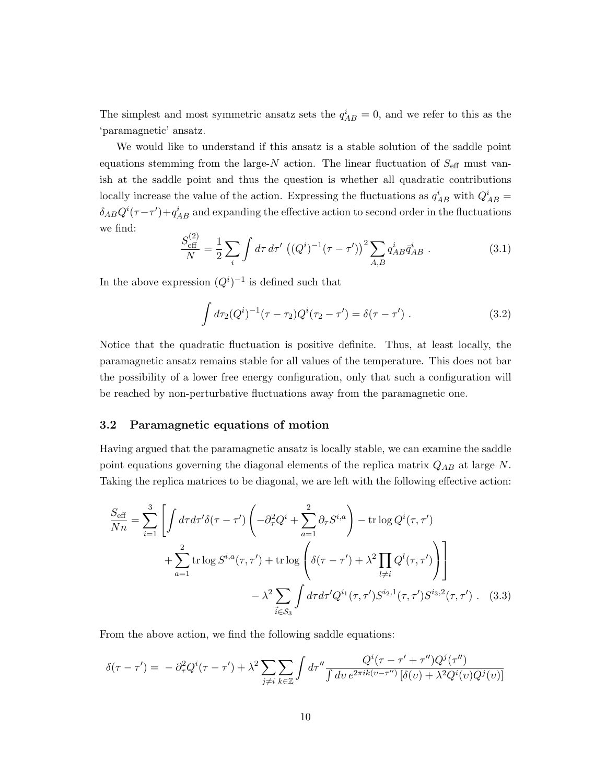The simplest and most symmetric ansatz sets the  $q_{AB}^i = 0$ , and we refer to this as the 'paramagnetic' ansatz.

We would like to understand if this ansatz is a stable solution of the saddle point equations stemming from the large-N action. The linear fluctuation of  $S_{\text{eff}}$  must vanish at the saddle point and thus the question is whether all quadratic contributions locally increase the value of the action. Expressing the fluctuations as  $q_{AB}^i$  with  $Q_{AB}^i$  =  $\delta_{AB}Q^{i}(\tau-\tau') + q^{i}_{AB}$  and expanding the effective action to second order in the fluctuations we find:

$$
\frac{S_{\text{eff}}^{(2)}}{N} = \frac{1}{2} \sum_{i} \int d\tau \, d\tau' \, \left( (Q^i)^{-1} (\tau - \tau') \right)^2 \sum_{A,B} q_{AB}^i \bar{q}_{AB}^i \, . \tag{3.1}
$$

In the above expression  $(Q<sup>i</sup>)<sup>-1</sup>$  is defined such that

$$
\int d\tau_2 (Q^i)^{-1} (\tau - \tau_2) Q^i (\tau_2 - \tau') = \delta(\tau - \tau') . \qquad (3.2)
$$

Notice that the quadratic fluctuation is positive definite. Thus, at least locally, the paramagnetic ansatz remains stable for all values of the temperature. This does not bar the possibility of a lower free energy configuration, only that such a configuration will be reached by non-perturbative fluctuations away from the paramagnetic one.

#### <span id="page-10-0"></span>3.2 Paramagnetic equations of motion

Having argued that the paramagnetic ansatz is locally stable, we can examine the saddle point equations governing the diagonal elements of the replica matrix  $Q_{AB}$  at large N. Taking the replica matrices to be diagonal, we are left with the following effective action:

<span id="page-10-1"></span>
$$
\frac{S_{\text{eff}}}{Nn} = \sum_{i=1}^{3} \left[ \int d\tau d\tau' \delta(\tau - \tau') \left( -\partial_{\tau}^{2} Q^{i} + \sum_{a=1}^{2} \partial_{\tau} S^{i,a} \right) - \text{tr} \log Q^{i}(\tau, \tau') \right. \\
\left. + \sum_{a=1}^{2} \text{tr} \log S^{i,a}(\tau, \tau') + \text{tr} \log \left( \delta(\tau - \tau') + \lambda^{2} \prod_{l \neq i} Q^{l}(\tau, \tau') \right) \right] \\
\left. - \lambda^{2} \sum_{i \in S_{3}} \int d\tau d\tau' Q^{i_{1}}(\tau, \tau') S^{i_{2},1}(\tau, \tau') S^{i_{3},2}(\tau, \tau') . \quad (3.3)
$$

From the above action, we find the following saddle equations:

$$
\delta(\tau - \tau') = -\partial_{\tau}^2 Q^i(\tau - \tau') + \lambda^2 \sum_{j \neq i} \sum_{k \in \mathbb{Z}} \int d\tau'' \frac{Q^i(\tau - \tau' + \tau'')Q^j(\tau'')}{\int d\tau' \, e^{2\pi i k(\tau - \tau'')} \left[\delta(\tau) + \lambda^2 Q^i(\tau)Q^j(\tau)\right]}
$$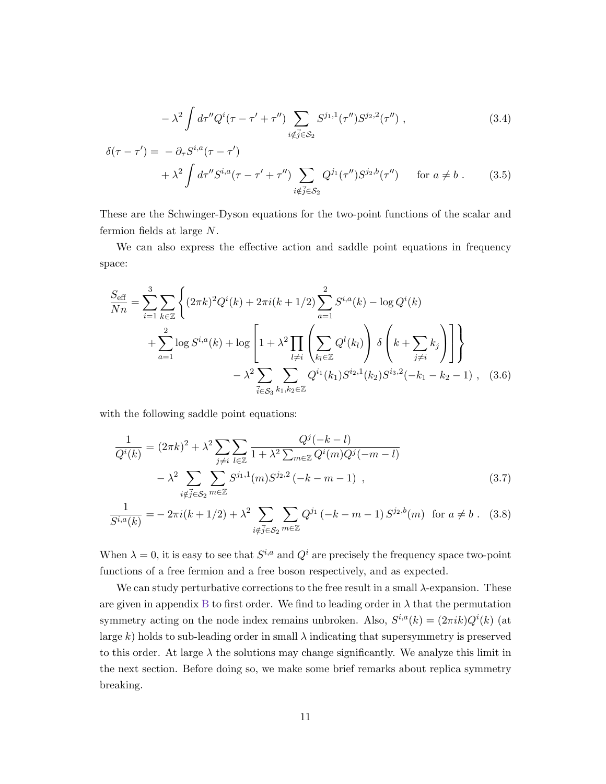<span id="page-11-1"></span><span id="page-11-0"></span>
$$
-\lambda^2 \int d\tau'' Q^i(\tau - \tau' + \tau'') \sum_{i \notin \vec{j} \in \mathcal{S}_2} S^{j_1,1}(\tau'') S^{j_2,2}(\tau'') , \qquad (3.4)
$$

$$
\delta(\tau - \tau') = -\partial_{\tau} S^{i,a}(\tau - \tau')
$$
  
+  $\lambda^2 \int d\tau'' S^{i,a}(\tau - \tau' + \tau'')$   $\sum_{i \notin \vec{j} \in S_2} Q^{j_1}(\tau'') S^{j_2,b}(\tau'')$  for  $a \neq b$ . (3.5)

These are the Schwinger-Dyson equations for the two-point functions of the scalar and fermion fields at large N.

We can also express the effective action and saddle point equations in frequency space:

$$
\frac{S_{\text{eff}}}{Nn} = \sum_{i=1}^{3} \sum_{k \in \mathbb{Z}} \left\{ (2\pi k)^2 Q^i(k) + 2\pi i (k+1/2) \sum_{a=1}^{2} S^{i,a}(k) - \log Q^i(k) + \sum_{a=1}^{2} \log S^{i,a}(k) + \log \left[ 1 + \lambda^2 \prod_{l \neq i} \left( \sum_{k_l \in \mathbb{Z}} Q^l(k_l) \right) \delta \left( k + \sum_{j \neq i} k_j \right) \right] \right\}
$$

$$
- \lambda^2 \sum_{\vec{i} \in S_3} \sum_{k_1, k_2 \in \mathbb{Z}} Q^{i_1}(k_1) S^{i_2,1}(k_2) S^{i_3,2}(-k_1 - k_2 - 1), \quad (3.6)
$$

with the following saddle point equations:

<span id="page-11-3"></span><span id="page-11-2"></span>
$$
\frac{1}{Q^{i}(k)} = (2\pi k)^{2} + \lambda^{2} \sum_{j \neq i} \sum_{l \in \mathbb{Z}} \frac{Q^{j}(-k-l)}{1 + \lambda^{2} \sum_{m \in \mathbb{Z}} Q^{i}(m)Q^{j}(-m-l)}
$$

$$
- \lambda^{2} \sum_{i \notin \vec{j} \in \mathcal{S}_{2}} \sum_{m \in \mathbb{Z}} S^{j_{1},1}(m) S^{j_{2},2}(-k-m-1) , \qquad (3.7)
$$

$$
\frac{1}{S^{i,a}(k)} = -2\pi i(k+1/2) + \lambda^2 \sum_{i \notin \vec{j} \in \mathcal{S}_2} \sum_{m \in \mathbb{Z}} Q^{j_1} (-k-m-1) S^{j_2,b}(m) \text{ for } a \neq b. \quad (3.8)
$$

When  $\lambda = 0$ , it is easy to see that  $S^{i,a}$  and  $Q^i$  are precisely the frequency space two-point functions of a free fermion and a free boson respectively, and as expected.

We can study perturbative corrections to the free result in a small  $\lambda$ -expansion. These are given in appendix [B](#page-24-0) to first order. We find to leading order in  $\lambda$  that the permutation symmetry acting on the node index remains unbroken. Also,  $S^{i,a}(k) = (2\pi i k)Q^{i}(k)$  (at large k) holds to sub-leading order in small  $\lambda$  indicating that supersymmetry is preserved to this order. At large  $\lambda$  the solutions may change significantly. We analyze this limit in the next section. Before doing so, we make some brief remarks about replica symmetry breaking.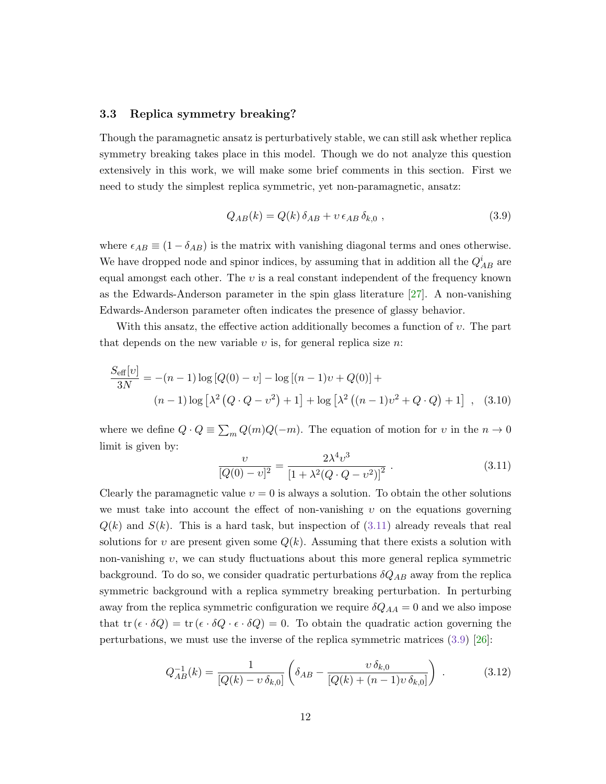#### <span id="page-12-0"></span>3.3 Replica symmetry breaking?

Though the paramagnetic ansatz is perturbatively stable, we can still ask whether replica symmetry breaking takes place in this model. Though we do not analyze this question extensively in this work, we will make some brief comments in this section. First we need to study the simplest replica symmetric, yet non-paramagnetic, ansatz:

<span id="page-12-2"></span>
$$
Q_{AB}(k) = Q(k)\,\delta_{AB} + v\,\epsilon_{AB}\,\delta_{k,0} \,,\tag{3.9}
$$

where  $\epsilon_{AB} \equiv (1 - \delta_{AB})$  is the matrix with vanishing diagonal terms and ones otherwise. We have dropped node and spinor indices, by assuming that in addition all the  $Q^i_{AB}$  are equal amongst each other. The  $v$  is a real constant independent of the frequency known as the Edwards-Anderson parameter in the spin glass literature [\[27\]](#page-27-4). A non-vanishing Edwards-Anderson parameter often indicates the presence of glassy behavior.

With this ansatz, the effective action additionally becomes a function of  $v$ . The part that depends on the new variable  $v$  is, for general replica size  $n$ .

$$
\frac{S_{\text{eff}}[v]}{3N} = -(n-1)\log [Q(0) - v] - \log [(n-1)v + Q(0)] +
$$
  
(n-1)log  $[\lambda^2 (Q \cdot Q - v^2) + 1] + \log [\lambda^2 ((n-1)v^2 + Q \cdot Q) + 1]$ , (3.10)

where we define  $Q \cdot Q \equiv \sum_m Q(m)Q(-m)$ . The equation of motion for v in the  $n \to 0$ limit is given by:

<span id="page-12-1"></span>
$$
\frac{\nu}{[Q(0)-\nu]^2} = \frac{2\lambda^4 \nu^3}{[1+\lambda^2(Q\cdot Q-\nu^2)]^2} \ . \tag{3.11}
$$

Clearly the paramagnetic value  $v = 0$  is always a solution. To obtain the other solutions we must take into account the effect of non-vanishing  $v$  on the equations governing  $Q(k)$  and  $S(k)$ . This is a hard task, but inspection of  $(3.11)$  already reveals that real solutions for v are present given some  $Q(k)$ . Assuming that there exists a solution with non-vanishing  $v$ , we can study fluctuations about this more general replica symmetric background. To do so, we consider quadratic perturbations  $\delta Q_{AB}$  away from the replica symmetric background with a replica symmetry breaking perturbation. In perturbing away from the replica symmetric configuration we require  $\delta Q_{AA} = 0$  and we also impose that tr  $(\epsilon \cdot \delta Q) = \text{tr}(\epsilon \cdot \delta Q \cdot \epsilon \cdot \delta Q) = 0$ . To obtain the quadratic action governing the perturbations, we must use the inverse of the replica symmetric matrices [\(3.9\)](#page-12-2) [\[26\]](#page-27-3):

$$
Q_{AB}^{-1}(k) = \frac{1}{[Q(k) - v \,\delta_{k,0}]} \left( \delta_{AB} - \frac{v \,\delta_{k,0}}{[Q(k) + (n-1)v \,\delta_{k,0}]} \right) \,. \tag{3.12}
$$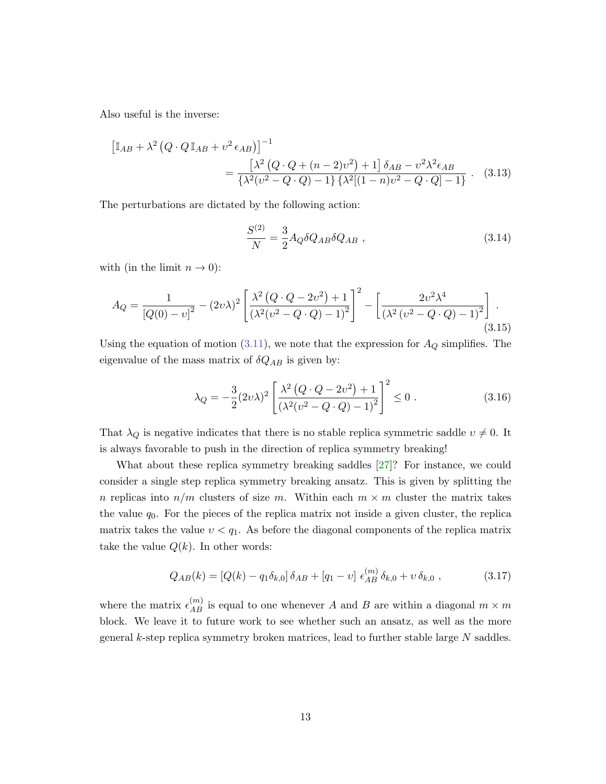Also useful is the inverse:

$$
\begin{aligned} \left[\mathbb{I}_{AB} + \lambda^2 \left(Q \cdot Q \mathbb{I}_{AB} + v^2 \epsilon_{AB}\right)\right]^{-1} \\ &= \frac{\left[\lambda^2 \left(Q \cdot Q + (n-2)v^2\right) + 1\right] \delta_{AB} - v^2 \lambda^2 \epsilon_{AB}}{\left\{\lambda^2 (v^2 - Q \cdot Q) - 1\right\} \left\{\lambda^2 \left[(1-n)v^2 - Q \cdot Q\right] - 1\right\}} \,. \end{aligned} \tag{3.13}
$$

The perturbations are dictated by the following action:

$$
\frac{S^{(2)}}{N} = \frac{3}{2} A_Q \delta Q_{AB} \delta Q_{AB} \,, \tag{3.14}
$$

with (in the limit  $n \to 0$ ):

$$
A_Q = \frac{1}{[Q(0) - v]^2} - (2v\lambda)^2 \left[ \frac{\lambda^2 (Q \cdot Q - 2v^2) + 1}{(\lambda^2 (v^2 - Q \cdot Q) - 1)^2} \right]^2 - \left[ \frac{2v^2 \lambda^4}{(\lambda^2 (v^2 - Q \cdot Q) - 1)^2} \right].
$$
\n(3.15)

Using the equation of motion [\(3.11\)](#page-12-1), we note that the expression for  $A_Q$  simplifies. The eigenvalue of the mass matrix of  $\delta Q_{AB}$  is given by:

$$
\lambda_Q = -\frac{3}{2}(2\upsilon\lambda)^2 \left[ \frac{\lambda^2 (Q \cdot Q - 2\upsilon^2) + 1}{(\lambda^2 (\upsilon^2 - Q \cdot Q) - 1)^2} \right]^2 \le 0.
$$
\n(3.16)

That  $\lambda_Q$  is negative indicates that there is no stable replica symmetric saddle  $v \neq 0$ . It is always favorable to push in the direction of replica symmetry breaking!

What about these replica symmetry breaking saddles [\[27\]](#page-27-4)? For instance, we could consider a single step replica symmetry breaking ansatz. This is given by splitting the n replicas into  $n/m$  clusters of size m. Within each  $m \times m$  cluster the matrix takes the value  $q_0$ . For the pieces of the replica matrix not inside a given cluster, the replica matrix takes the value  $v < q_1$ . As before the diagonal components of the replica matrix take the value  $Q(k)$ . In other words:

$$
Q_{AB}(k) = [Q(k) - q_1 \delta_{k,0}] \delta_{AB} + [q_1 - v] \epsilon_{AB}^{(m)} \delta_{k,0} + v \delta_{k,0} , \qquad (3.17)
$$

where the matrix  $\epsilon_{AB}^{(m)}$  is equal to one whenever A and B are within a diagonal  $m \times m$ block. We leave it to future work to see whether such an ansatz, as well as the more general k-step replica symmetry broken matrices, lead to further stable large N saddles.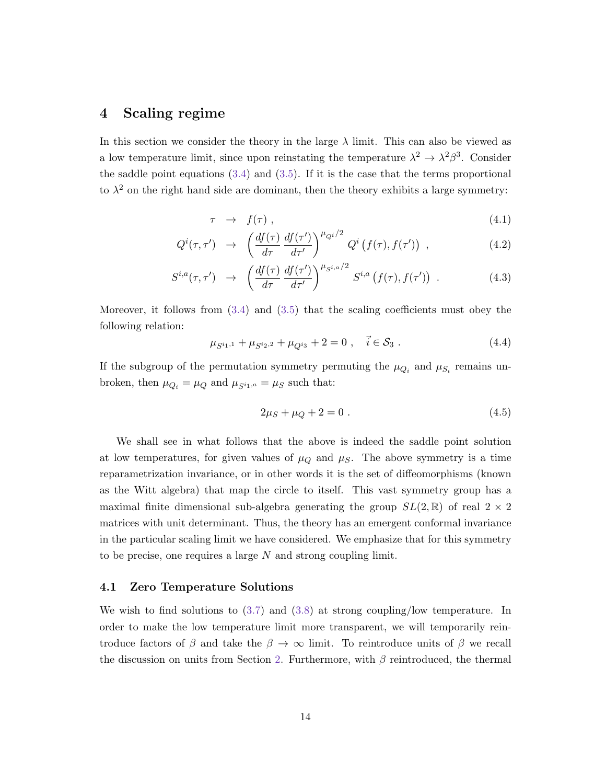# <span id="page-14-0"></span>4 Scaling regime

In this section we consider the theory in the large  $\lambda$  limit. This can also be viewed as a low temperature limit, since upon reinstating the temperature  $\lambda^2 \to \lambda^2 \beta^3$ . Consider the saddle point equations  $(3.4)$  and  $(3.5)$ . If it is the case that the terms proportional to  $\lambda^2$  on the right hand side are dominant, then the theory exhibits a large symmetry:

$$
\tau \rightarrow f(\tau) , \qquad (4.1)
$$

$$
Q^{i}(\tau,\tau') \rightarrow \left(\frac{df(\tau)}{d\tau}\frac{df(\tau')}{d\tau'}\right)^{\mu_{Q}i/2} Q^{i}\left(f(\tau),f(\tau')\right) , \qquad (4.2)
$$

$$
S^{i,a}(\tau,\tau') \rightarrow \left(\frac{df(\tau)}{d\tau} \frac{df(\tau')}{d\tau'}\right)^{\mu_{S^{i,a}}/2} S^{i,a} \left(f(\tau),f(\tau')\right) . \tag{4.3}
$$

Moreover, it follows from  $(3.4)$  and  $(3.5)$  that the scaling coefficients must obey the following relation:

$$
\mu_{S^{i_1,1}} + \mu_{S^{i_2,2}} + \mu_{Q^{i_3}} + 2 = 0 , \quad \vec{i} \in S_3 . \tag{4.4}
$$

If the subgroup of the permutation symmetry permuting the  $\mu_{Q_i}$  and  $\mu_{S_i}$  remains unbroken, then  $\mu_{Q_i} = \mu_Q$  and  $\mu_{S^{i_1,a}} = \mu_S$  such that:

<span id="page-14-2"></span>
$$
2\mu_S + \mu_Q + 2 = 0 \tag{4.5}
$$

We shall see in what follows that the above is indeed the saddle point solution at low temperatures, for given values of  $\mu_Q$  and  $\mu_S$ . The above symmetry is a time reparametrization invariance, or in other words it is the set of diffeomorphisms (known as the Witt algebra) that map the circle to itself. This vast symmetry group has a maximal finite dimensional sub-algebra generating the group  $SL(2,\mathbb{R})$  of real  $2 \times 2$ matrices with unit determinant. Thus, the theory has an emergent conformal invariance in the particular scaling limit we have considered. We emphasize that for this symmetry to be precise, one requires a large N and strong coupling limit.

#### <span id="page-14-1"></span>4.1 Zero Temperature Solutions

We wish to find solutions to [\(3.7\)](#page-11-2) and [\(3.8\)](#page-11-3) at strong coupling/low temperature. In order to make the low temperature limit more transparent, we will temporarily reintroduce factors of  $\beta$  and take the  $\beta \to \infty$  limit. To reintroduce units of  $\beta$  we recall the discussion on units from Section [2.](#page-3-0) Furthermore, with  $\beta$  reintroduced, the thermal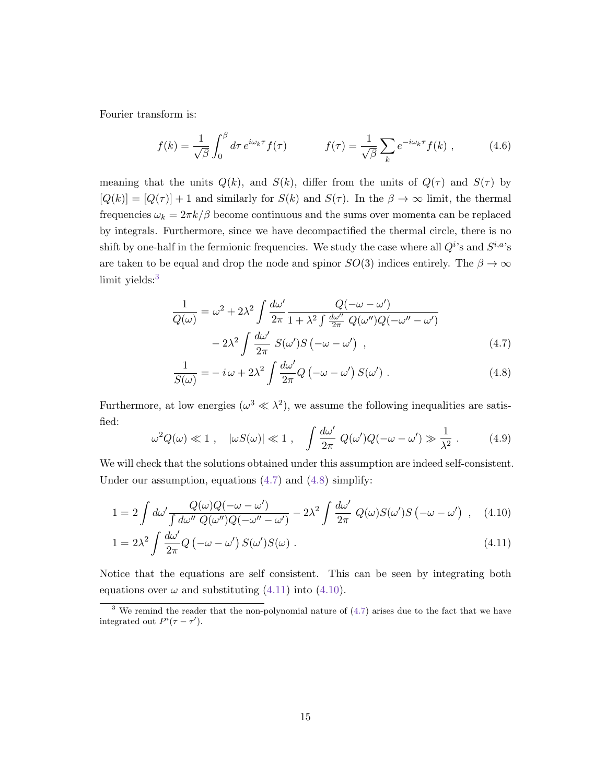Fourier transform is:

$$
f(k) = \frac{1}{\sqrt{\beta}} \int_0^\beta d\tau \, e^{i\omega_k \tau} f(\tau) \qquad f(\tau) = \frac{1}{\sqrt{\beta}} \sum_k e^{-i\omega_k \tau} f(k) \;, \tag{4.6}
$$

meaning that the units  $Q(k)$ , and  $S(k)$ , differ from the units of  $Q(\tau)$  and  $S(\tau)$  by  $[Q(k)] = [Q(\tau)] + 1$  and similarly for  $S(k)$  and  $S(\tau)$ . In the  $\beta \to \infty$  limit, the thermal frequencies  $\omega_k = 2\pi k/\beta$  become continuous and the sums over momenta can be replaced by integrals. Furthermore, since we have decompactified the thermal circle, there is no shift by one-half in the fermionic frequencies. We study the case where all  $Q^{i}$ 's and  $S^{i,a}$ 's are taken to be equal and drop the node and spinor  $SO(3)$  indices entirely. The  $\beta \to \infty$ limit yields:<sup>[3](#page-15-0)</sup>

$$
\frac{1}{Q(\omega)} = \omega^2 + 2\lambda^2 \int \frac{d\omega'}{2\pi} \frac{Q(-\omega - \omega')}{1 + \lambda^2 \int \frac{d\omega''}{2\pi} Q(\omega'')Q(-\omega'' - \omega')}
$$

$$
-2\lambda^2 \int \frac{d\omega'}{2\pi} S(\omega')S(-\omega - \omega') , \qquad (4.7)
$$

<span id="page-15-4"></span><span id="page-15-2"></span><span id="page-15-1"></span>
$$
\frac{1}{S(\omega)} = -i\,\omega + 2\lambda^2 \int \frac{d\omega'}{2\pi} Q\left(-\omega - \omega'\right) S(\omega') . \tag{4.8}
$$

Furthermore, at low energies  $(\omega^3 \ll \lambda^2)$ , we assume the following inequalities are satisfied:

<span id="page-15-5"></span><span id="page-15-3"></span>
$$
\omega^2 Q(\omega) \ll 1 \; , \quad |\omega S(\omega)| \ll 1 \; , \quad \int \frac{d\omega'}{2\pi} \; Q(\omega')Q(-\omega - \omega') \gg \frac{1}{\lambda^2} \; . \tag{4.9}
$$

We will check that the solutions obtained under this assumption are indeed self-consistent. Under our assumption, equations [\(4.7\)](#page-15-1) and [\(4.8\)](#page-15-2) simplify:

$$
1 = 2 \int d\omega' \frac{Q(\omega)Q(-\omega - \omega')}{\int d\omega'' Q(\omega'')Q(-\omega'' - \omega')} - 2\lambda^2 \int \frac{d\omega'}{2\pi} Q(\omega)S(\omega')S(-\omega - \omega') , \quad (4.10)
$$

$$
1 = 2\lambda^2 \int \frac{d\omega'}{2\pi} Q\left(-\omega - \omega'\right) S(\omega') S(\omega) . \tag{4.11}
$$

Notice that the equations are self consistent. This can be seen by integrating both equations over  $\omega$  and substituting [\(4.11\)](#page-15-3) into [\(4.10\)](#page-15-4).

<span id="page-15-0"></span><sup>&</sup>lt;sup>3</sup> We remind the reader that the non-polynomial nature of  $(4.7)$  arises due to the fact that we have integrated out  $P^{i}(\tau - \tau')$ .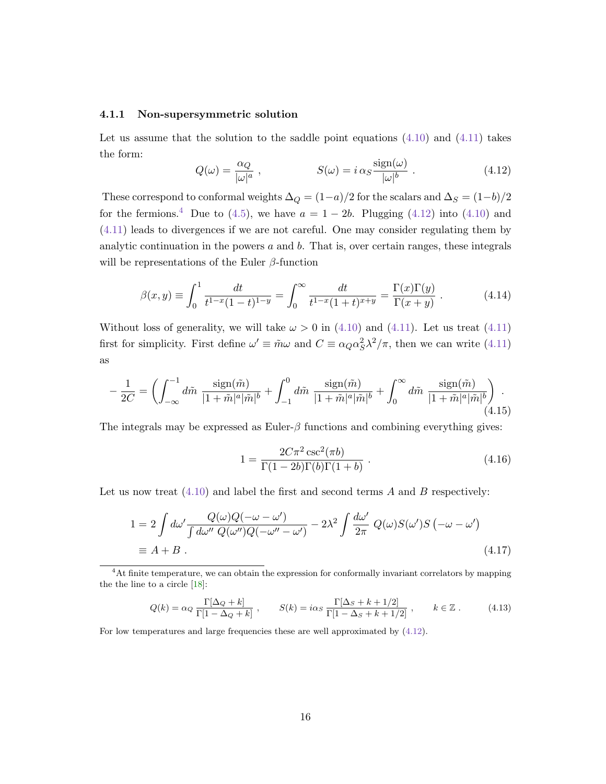#### <span id="page-16-0"></span>4.1.1 Non-supersymmetric solution

−

Let us assume that the solution to the saddle point equations  $(4.10)$  and  $(4.11)$  takes the form:

<span id="page-16-2"></span>
$$
Q(\omega) = \frac{\alpha_Q}{|\omega|^a} , \qquad S(\omega) = i \alpha_S \frac{\text{sign}(\omega)}{|\omega|^b} . \qquad (4.12)
$$

These correspond to conformal weights  $\Delta_Q = (1-a)/2$  for the scalars and  $\Delta_S = (1-b)/2$ for the fermions.<sup>[4](#page-16-1)</sup> Due to [\(4.5\)](#page-14-2), we have  $a = 1 - 2b$ . Plugging [\(4.12\)](#page-16-2) into [\(4.10\)](#page-15-4) and [\(4.11\)](#page-15-3) leads to divergences if we are not careful. One may consider regulating them by analytic continuation in the powers  $a$  and  $b$ . That is, over certain ranges, these integrals will be representations of the Euler  $\beta$ -function

$$
\beta(x,y) \equiv \int_0^1 \frac{dt}{t^{1-x}(1-t)^{1-y}} = \int_0^\infty \frac{dt}{t^{1-x}(1+t)^{x+y}} = \frac{\Gamma(x)\Gamma(y)}{\Gamma(x+y)}.
$$
\n(4.14)

Without loss of generality, we will take  $\omega > 0$  in [\(4.10\)](#page-15-4) and [\(4.11\)](#page-15-3). Let us treat (4.11) first for simplicity. First define  $\omega' \equiv \tilde{m}\omega$  and  $C \equiv \alpha_Q \alpha_S^2 \lambda^2/\pi$ , then we can write [\(4.11\)](#page-15-3) as

$$
\frac{1}{2C} = \left( \int_{-\infty}^{-1} d\tilde{m} \; \frac{\text{sign}(\tilde{m})}{|1 + \tilde{m}|^a |\tilde{m}|^b} + \int_{-1}^0 d\tilde{m} \; \frac{\text{sign}(\tilde{m})}{|1 + \tilde{m}|^a |\tilde{m}|^b} + \int_0^\infty d\tilde{m} \; \frac{\text{sign}(\tilde{m})}{|1 + \tilde{m}|^a |\tilde{m}|^b} \right) \,. \tag{4.15}
$$

The integrals may be expressed as Euler- $\beta$  functions and combining everything gives:

$$
1 = \frac{2C\pi^2 \csc^2(\pi b)}{\Gamma(1 - 2b)\Gamma(b)\Gamma(1 + b)}.
$$
\n(4.16)

Let us now treat  $(4.10)$  and label the first and second terms A and B respectively:

$$
1 = 2 \int d\omega' \frac{Q(\omega)Q(-\omega - \omega')}{\int d\omega'' Q(\omega'')Q(-\omega'' - \omega')} - 2\lambda^2 \int \frac{d\omega'}{2\pi} Q(\omega)S(\omega')S(-\omega - \omega')
$$
  
\n
$$
\equiv A + B .
$$
\n(4.17)

<span id="page-16-1"></span><sup>4</sup>At finite temperature, we can obtain the expression for conformally invariant correlators by mapping the the line to a circle [\[18\]](#page-26-7):

$$
Q(k) = \alpha_Q \frac{\Gamma[\Delta_Q + k]}{\Gamma[1 - \Delta_Q + k]}, \qquad S(k) = i\alpha_S \frac{\Gamma[\Delta_S + k + 1/2]}{\Gamma[1 - \Delta_S + k + 1/2]}, \qquad k \in \mathbb{Z}. \tag{4.13}
$$

For low temperatures and large frequencies these are well approximated by  $(4.12)$ .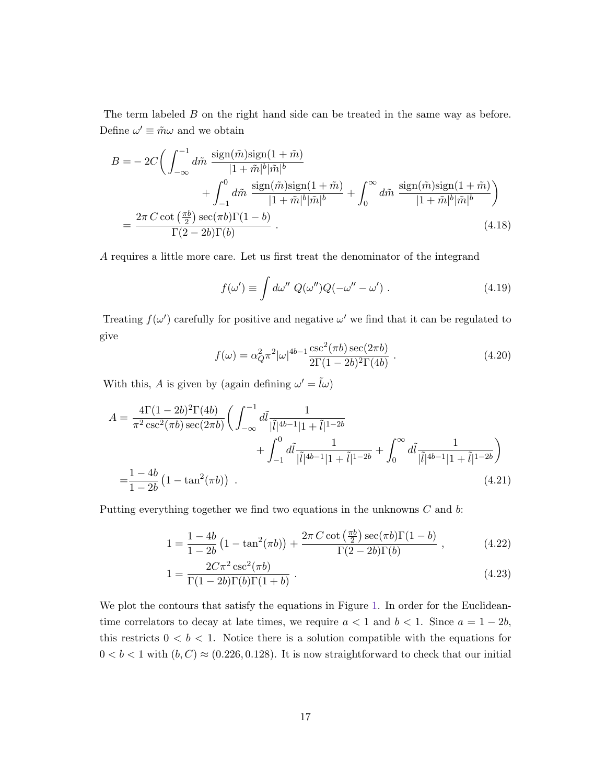The term labeled B on the right hand side can be treated in the same way as before. Define  $\omega' \equiv \tilde{m}\omega$  and we obtain

$$
B = -2C \left( \int_{-\infty}^{-1} d\tilde{m} \frac{\text{sign}(\tilde{m}) \text{sign}(1 + \tilde{m})}{|1 + \tilde{m}|^b |\tilde{m}|^b} + \int_0^0 d\tilde{m} \frac{\text{sign}(\tilde{m}) \text{sign}(1 + \tilde{m})}{|1 + \tilde{m}|^b |\tilde{m}|^b} + \int_0^\infty d\tilde{m} \frac{\text{sign}(\tilde{m}) \text{sign}(1 + \tilde{m})}{|1 + \tilde{m}|^b |\tilde{m}|^b} \right)
$$
  
= 
$$
\frac{2\pi C \cot\left(\frac{\pi b}{2}\right) \sec(\pi b) \Gamma(1 - b)}{\Gamma(2 - 2b) \Gamma(b)}.
$$
(4.18)

A requires a little more care. Let us first treat the denominator of the integrand

$$
f(\omega') \equiv \int d\omega'' \ Q(\omega'')Q(-\omega'' - \omega') . \qquad (4.19)
$$

Treating  $f(\omega')$  carefully for positive and negative  $\omega'$  we find that it can be regulated to give

$$
f(\omega) = \alpha_Q^2 \pi^2 |\omega|^{4b-1} \frac{\csc^2(\pi b) \sec(2\pi b)}{2\Gamma(1-2b)^2 \Gamma(4b)} .
$$
 (4.20)

With this, A is given by (again defining  $\omega' = \tilde{l}\omega$ )

$$
A = \frac{4\Gamma(1-2b)^2\Gamma(4b)}{\pi^2 \csc^2(\pi b) \sec(2\pi b)} \bigg( \int_{-\infty}^{-1} d\tilde{l} \frac{1}{|\tilde{l}|^{4b-1}|1+\tilde{l}|^{1-2b}} + \int_0^0 d\tilde{l} \frac{1}{|\tilde{l}|^{4b-1}|1+\tilde{l}|^{1-2b}} + \int_0^\infty d\tilde{l} \frac{1}{|\tilde{l}|^{4b-1}|1+\tilde{l}|^{1-2b}} \bigg)
$$
  
= 
$$
\frac{1-4b}{1-2b} \left(1 - \tan^2(\pi b)\right) . \tag{4.21}
$$

Putting everything together we find two equations in the unknowns C and b:

<span id="page-17-1"></span><span id="page-17-0"></span>
$$
1 = \frac{1 - 4b}{1 - 2b} \left( 1 - \tan^2(\pi b) \right) + \frac{2\pi C \cot\left(\frac{\pi b}{2}\right) \sec(\pi b) \Gamma(1 - b)}{\Gamma(2 - 2b) \Gamma(b)} , \qquad (4.22)
$$

$$
1 = \frac{2C\pi^2 \csc^2(\pi b)}{\Gamma(1 - 2b)\Gamma(b)\Gamma(1 + b)}.
$$
\n(4.23)

We plot the contours that satisfy the equations in Figure [1.](#page-18-1) In order for the Euclideantime correlators to decay at late times, we require  $a < 1$  and  $b < 1$ . Since  $a = 1 - 2b$ , this restricts  $0 < b < 1$ . Notice there is a solution compatible with the equations for  $0 < b < 1$  with  $(b, C) \approx (0.226, 0.128)$ . It is now straightforward to check that our initial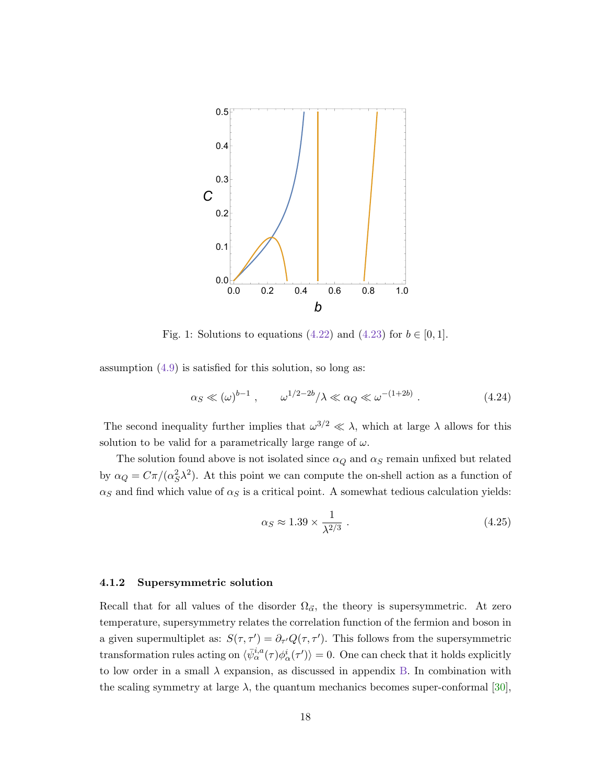

<span id="page-18-1"></span>Fig. 1: Solutions to equations [\(4.22\)](#page-17-0) and [\(4.23\)](#page-17-1) for  $b \in [0, 1]$ .

assumption  $(4.9)$  is satisfied for this solution, so long as:

$$
\alpha_S \ll (\omega)^{b-1} , \qquad \omega^{1/2-2b}/\lambda \ll \alpha_Q \ll \omega^{-(1+2b)} . \tag{4.24}
$$

The second inequality further implies that  $\omega^{3/2} \ll \lambda$ , which at large  $\lambda$  allows for this solution to be valid for a parametrically large range of  $\omega$ .

The solution found above is not isolated since  $\alpha_Q$  and  $\alpha_S$  remain unfixed but related by  $\alpha_Q = C\pi/(\alpha_S^2\lambda^2)$ . At this point we can compute the on-shell action as a function of  $\alpha_S$  and find which value of  $\alpha_S$  is a critical point. A somewhat tedious calculation yields:

<span id="page-18-2"></span>
$$
\alpha_S \approx 1.39 \times \frac{1}{\lambda^{2/3}} \tag{4.25}
$$

#### <span id="page-18-0"></span>4.1.2 Supersymmetric solution

Recall that for all values of the disorder  $\Omega_{\vec{\alpha}}$ , the theory is supersymmetric. At zero temperature, supersymmetry relates the correlation function of the fermion and boson in a given supermultiplet as:  $S(\tau, \tau') = \partial_{\tau'} Q(\tau, \tau')$ . This follows from the supersymmetric transformation rules acting on  $\langle \bar{\psi}_{\alpha}^{i,a}(\tau) \phi_{\alpha}^{i}(\tau') \rangle = 0$ . One can check that it holds explicitly to low order in a small  $\lambda$  expansion, as discussed in appendix [B.](#page-24-0) In combination with the scaling symmetry at large  $\lambda$ , the quantum mechanics becomes super-conformal [\[30\]](#page-27-5),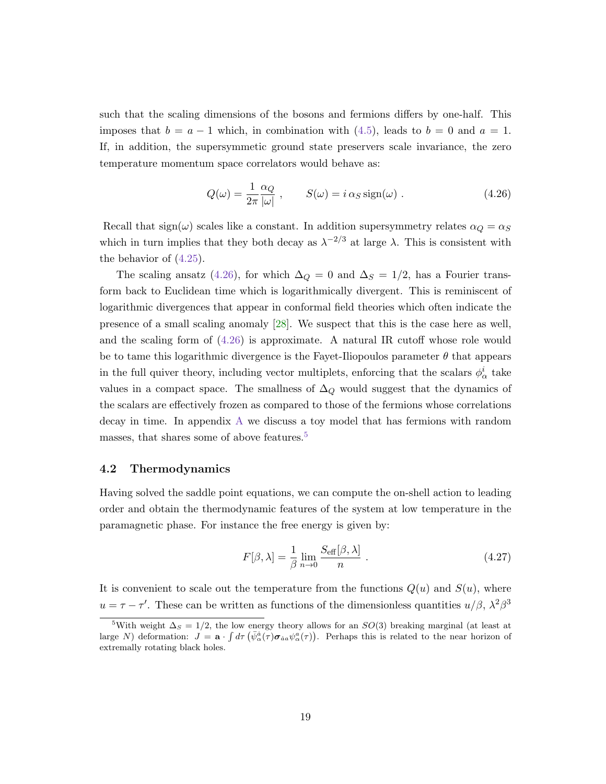such that the scaling dimensions of the bosons and fermions differs by one-half. This imposes that  $b = a - 1$  which, in combination with [\(4.5\)](#page-14-2), leads to  $b = 0$  and  $a = 1$ . If, in addition, the supersymmetic ground state preservers scale invariance, the zero temperature momentum space correlators would behave as:

<span id="page-19-1"></span>
$$
Q(\omega) = \frac{1}{2\pi} \frac{\alpha_Q}{|\omega|} , \qquad S(\omega) = i \alpha_S \operatorname{sign}(\omega) . \qquad (4.26)
$$

Recall that sign( $\omega$ ) scales like a constant. In addition supersymmetry relates  $\alpha_Q = \alpha_S$ which in turn implies that they both decay as  $\lambda^{-2/3}$  at large  $\lambda$ . This is consistent with the behavior of  $(4.25)$ .

The scaling ansatz [\(4.26\)](#page-19-1), for which  $\Delta_Q = 0$  and  $\Delta_S = 1/2$ , has a Fourier transform back to Euclidean time which is logarithmically divergent. This is reminiscent of logarithmic divergences that appear in conformal field theories which often indicate the presence of a small scaling anomaly [\[28\]](#page-27-6). We suspect that this is the case here as well, and the scaling form of [\(4.26\)](#page-19-1) is approximate. A natural IR cutoff whose role would be to tame this logarithmic divergence is the Fayet-Iliopoulos parameter  $\theta$  that appears in the full quiver theory, including vector multiplets, enforcing that the scalars  $\phi^i_\alpha$  take values in a compact space. The smallness of  $\Delta_Q$  would suggest that the dynamics of the scalars are effectively frozen as compared to those of the fermions whose correlations decay in time. In appendix [A](#page-22-0) we discuss a toy model that has fermions with random masses, that shares some of above features.<sup>[5](#page-19-2)</sup>

### <span id="page-19-0"></span>4.2 Thermodynamics

Having solved the saddle point equations, we can compute the on-shell action to leading order and obtain the thermodynamic features of the system at low temperature in the paramagnetic phase. For instance the free energy is given by:

$$
F[\beta,\lambda] = \frac{1}{\beta} \lim_{n \to 0} \frac{S_{\text{eff}}[\beta,\lambda]}{n} .
$$
 (4.27)

It is convenient to scale out the temperature from the functions  $Q(u)$  and  $S(u)$ , where  $u = \tau - \tau'$ . These can be written as functions of the dimensionless quantities  $u/\beta$ ,  $\lambda^2 \beta^3$ 

<span id="page-19-2"></span><sup>&</sup>lt;sup>5</sup>With weight  $\Delta_S = 1/2$ , the low energy theory allows for an SO(3) breaking marginal (at least at large N) deformation:  $J = \mathbf{a} \cdot \int d\tau \left( \bar{\psi}_{\alpha}^{\dot{a}}(\tau) \sigma_{\dot{a}a} \psi_{\alpha}^{a}(\tau) \right)$ . Perhaps this is related to the near horizon of extremally rotating black holes.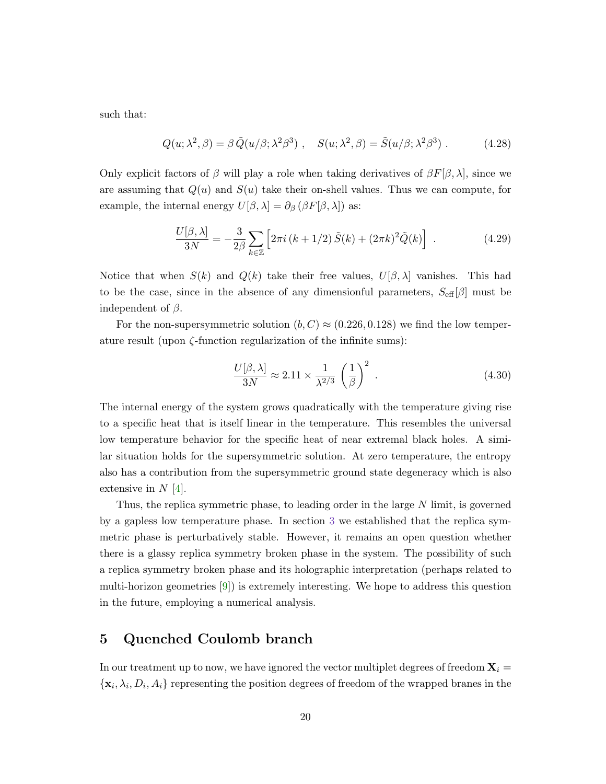such that:

$$
Q(u; \lambda^2, \beta) = \beta \tilde{Q}(u/\beta; \lambda^2 \beta^3) , \quad S(u; \lambda^2, \beta) = \tilde{S}(u/\beta; \lambda^2 \beta^3) . \tag{4.28}
$$

Only explicit factors of  $\beta$  will play a role when taking derivatives of  $\beta F[\beta,\lambda]$ , since we are assuming that  $Q(u)$  and  $S(u)$  take their on-shell values. Thus we can compute, for example, the internal energy  $U[\beta, \lambda] = \partial_{\beta} (\beta F[\beta, \lambda])$  as:

<span id="page-20-1"></span>
$$
\frac{U[\beta,\lambda]}{3N} = -\frac{3}{2\beta} \sum_{k \in \mathbb{Z}} \left[ 2\pi i \left( k + 1/2 \right) \tilde{S}(k) + (2\pi k)^2 \tilde{Q}(k) \right] \ . \tag{4.29}
$$

Notice that when  $S(k)$  and  $Q(k)$  take their free values,  $U[\beta, \lambda]$  vanishes. This had to be the case, since in the absence of any dimensionful parameters,  $S_{\text{eff}}[\beta]$  must be independent of  $\beta$ .

For the non-supersymmetric solution  $(b, C) \approx (0.226, 0.128)$  we find the low temperature result (upon  $\zeta$ -function regularization of the infinite sums):

$$
\frac{U[\beta,\lambda]}{3N} \approx 2.11 \times \frac{1}{\lambda^{2/3}} \left(\frac{1}{\beta}\right)^2 \,. \tag{4.30}
$$

The internal energy of the system grows quadratically with the temperature giving rise to a specific heat that is itself linear in the temperature. This resembles the universal low temperature behavior for the specific heat of near extremal black holes. A similar situation holds for the supersymmetric solution. At zero temperature, the entropy also has a contribution from the supersymmetric ground state degeneracy which is also extensive in  $N$  [\[4\]](#page-25-3).

Thus, the replica symmetric phase, to leading order in the large N limit, is governed by a gapless low temperature phase. In section [3](#page-9-0) we established that the replica symmetric phase is perturbatively stable. However, it remains an open question whether there is a glassy replica symmetry broken phase in the system. The possibility of such a replica symmetry broken phase and its holographic interpretation (perhaps related to multi-horizon geometries  $[9]$ ) is extremely interesting. We hope to address this question in the future, employing a numerical analysis.

# <span id="page-20-0"></span>5 Quenched Coulomb branch

In our treatment up to now, we have ignored the vector multiplet degrees of freedom  $\mathbf{X}_i =$  $\{\mathbf x_i, \lambda_i, D_i, A_i\}$  representing the position degrees of freedom of the wrapped branes in the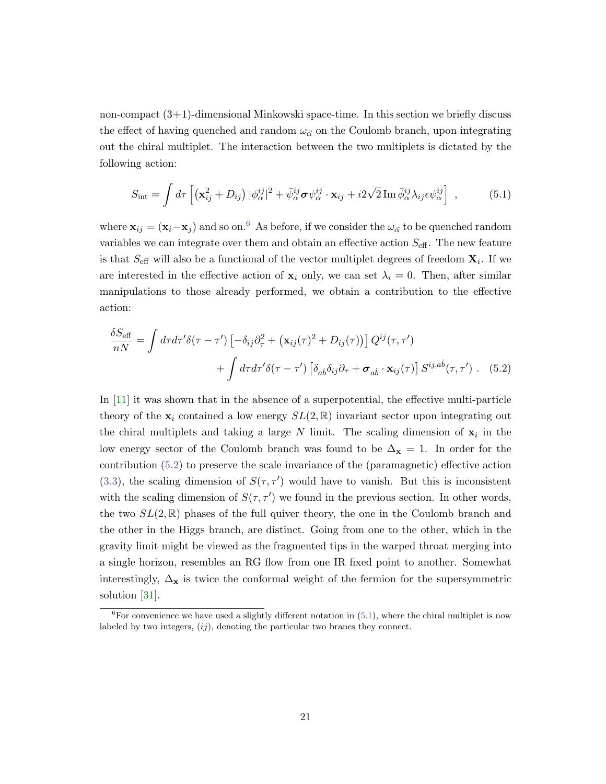non-compact  $(3+1)$ -dimensional Minkowski space-time. In this section we briefly discuss the effect of having quenched and random  $\omega_{\vec{\alpha}}$  on the Coulomb branch, upon integrating out the chiral multiplet. The interaction between the two multiplets is dictated by the following action:

<span id="page-21-2"></span>
$$
S_{\rm int} = \int d\tau \left[ \left( \mathbf{x}_{ij}^2 + D_{ij} \right) |\phi_{\alpha}^{ij}|^2 + \bar{\psi}_{\alpha}^{ij} \boldsymbol{\sigma} \psi_{\alpha}^{ij} \cdot \mathbf{x}_{ij} + i2\sqrt{2} \operatorname{Im} \bar{\phi}_{\alpha}^{ij} \lambda_{ij} \epsilon \psi_{\alpha}^{ij} \right] , \qquad (5.1)
$$

where  $\mathbf{x}_{ij} = (\mathbf{x}_i - \mathbf{x}_j)$  and so on.<sup>[6](#page-21-0)</sup> As before, if we consider the  $\omega_{\vec{\alpha}}$  to be quenched random variables we can integrate over them and obtain an effective action  $S_{\text{eff}}$ . The new feature is that  $S_{\text{eff}}$  will also be a functional of the vector multiplet degrees of freedom  $\mathbf{X}_i$ . If we are interested in the effective action of  $\mathbf{x}_i$  only, we can set  $\lambda_i = 0$ . Then, after similar manipulations to those already performed, we obtain a contribution to the effective action:

<span id="page-21-1"></span>
$$
\frac{\delta S_{\text{eff}}}{nN} = \int d\tau d\tau' \delta(\tau - \tau') \left[ -\delta_{ij} \partial_{\tau}^2 + (\mathbf{x}_{ij}(\tau)^2 + D_{ij}(\tau)) \right] Q^{ij}(\tau, \tau')
$$

$$
+ \int d\tau d\tau' \delta(\tau - \tau') \left[ \delta_{ab} \delta_{ij} \partial_{\tau} + \boldsymbol{\sigma}_{ab} \cdot \mathbf{x}_{ij}(\tau) \right] S^{ij,ab}(\tau, \tau'). \quad (5.2)
$$

In [\[11\]](#page-26-0) it was shown that in the absence of a superpotential, the effective multi-particle theory of the  $x_i$  contained a low energy  $SL(2,\mathbb{R})$  invariant sector upon integrating out the chiral multiplets and taking a large N limit. The scaling dimension of  $x_i$  in the low energy sector of the Coulomb branch was found to be  $\Delta_{\mathbf{x}} = 1$ . In order for the contribution [\(5.2\)](#page-21-1) to preserve the scale invariance of the (paramagnetic) effective action [\(3.3\)](#page-10-1), the scaling dimension of  $S(\tau, \tau')$  would have to vanish. But this is inconsistent with the scaling dimension of  $S(\tau, \tau')$  we found in the previous section. In other words, the two  $SL(2,\mathbb{R})$  phases of the full quiver theory, the one in the Coulomb branch and the other in the Higgs branch, are distinct. Going from one to the other, which in the gravity limit might be viewed as the fragmented tips in the warped throat merging into a single horizon, resembles an RG flow from one IR fixed point to another. Somewhat interestingly,  $\Delta_{\mathbf{x}}$  is twice the conformal weight of the fermion for the supersymmetric solution [\[31\]](#page-27-7).

<span id="page-21-0"></span> ${}^{6}$ For convenience we have used a slightly different notation in [\(5.1\)](#page-21-2), where the chiral multiplet is now labeled by two integers,  $(ij)$ , denoting the particular two branes they connect.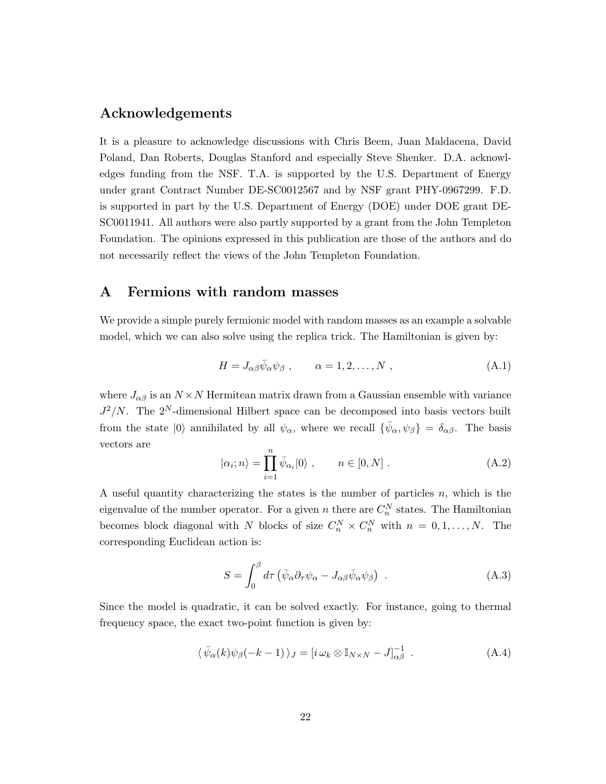# Acknowledgements

It is a pleasure to acknowledge discussions with Chris Beem, Juan Maldacena, David Poland, Dan Roberts, Douglas Stanford and especially Steve Shenker. D.A. acknowledges funding from the NSF. T.A. is supported by the U.S. Department of Energy under grant Contract Number DE-SC0012567 and by NSF grant PHY-0967299. F.D. is supported in part by the U.S. Department of Energy (DOE) under DOE grant DE-SC0011941. All authors were also partly supported by a grant from the John Templeton Foundation. The opinions expressed in this publication are those of the authors and do not necessarily reflect the views of the John Templeton Foundation.

### <span id="page-22-0"></span>A Fermions with random masses

We provide a simple purely fermionic model with random masses as an example a solvable model, which we can also solve using the replica trick. The Hamiltonian is given by:

$$
H = J_{\alpha\beta}\bar{\psi}_{\alpha}\psi_{\beta} , \qquad \alpha = 1, 2, \dots, N , \qquad (A.1)
$$

where  $J_{\alpha\beta}$  is an  $N \times N$  Hermitean matrix drawn from a Gaussian ensemble with variance  $J^2/N$ . The  $2^N$ -dimensional Hilbert space can be decomposed into basis vectors built from the state  $|0\rangle$  annihilated by all  $\psi_{\alpha}$ , where we recall  $\{\bar{\psi}_{\alpha},\psi_{\beta}\} = \delta_{\alpha\beta}$ . The basis vectors are

$$
|\alpha_i; n\rangle = \prod_{i=1}^n \bar{\psi}_{\alpha_i} |0\rangle , \qquad n \in [0, N] .
$$
 (A.2)

A useful quantity characterizing the states is the number of particles  $n$ , which is the eigenvalue of the number operator. For a given n there are  $C_n^N$  states. The Hamiltonian becomes block diagonal with N blocks of size  $C_n^N \times C_n^N$  with  $n = 0, 1, ..., N$ . The corresponding Euclidean action is:

$$
S = \int_0^\beta d\tau \left( \bar{\psi}_\alpha \partial_\tau \psi_\alpha - J_{\alpha\beta} \bar{\psi}_\alpha \psi_\beta \right) \tag{A.3}
$$

Since the model is quadratic, it can be solved exactly. For instance, going to thermal frequency space, the exact two-point function is given by:

$$
\langle \bar{\psi}_{\alpha}(k)\psi_{\beta}(-k-1)\rangle_{J} = [i\,\omega_{k}\otimes\mathbb{I}_{N\times N} - J]_{\alpha\beta}^{-1} . \tag{A.4}
$$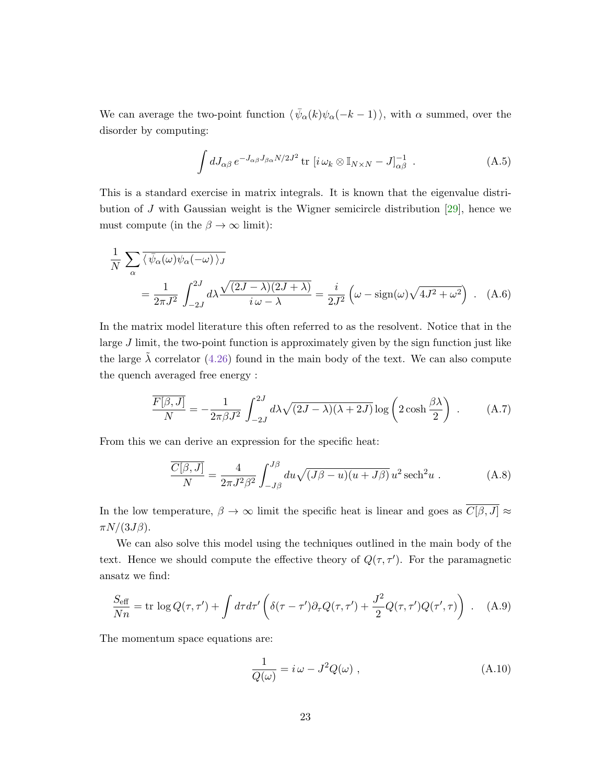We can average the two-point function  $\langle \bar{\psi}_{\alpha}(k)\psi_{\alpha}(-k-1)\rangle$ , with  $\alpha$  summed, over the disorder by computing:

<span id="page-23-0"></span>
$$
\int dJ_{\alpha\beta} e^{-J_{\alpha\beta}J_{\beta\alpha}N/2J^2} \operatorname{tr}\left[i\,\omega_k\otimes\mathbb{I}_{N\times N}-J\right]_{\alpha\beta}^{-1} \,. \tag{A.5}
$$

This is a standard exercise in matrix integrals. It is known that the eigenvalue distribution of J with Gaussian weight is the Wigner semicircle distribution  $[29]$ , hence we must compute (in the  $\beta \to \infty$  limit):

$$
\frac{1}{N} \sum_{\alpha} \overline{\langle \bar{\psi}_{\alpha}(\omega)\psi_{\alpha}(-\omega) \rangle_{J}}
$$
\n
$$
= \frac{1}{2\pi J^{2}} \int_{-2J}^{2J} d\lambda \frac{\sqrt{(2J-\lambda)(2J+\lambda)}}{i\,\omega-\lambda} = \frac{i}{2J^{2}} \left(\omega - \text{sign}(\omega)\sqrt{4J^{2}+\omega^{2}}\right). \quad (A.6)
$$

In the matrix model literature this often referred to as the resolvent. Notice that in the large J limit, the two-point function is approximately given by the sign function just like the large  $\tilde{\lambda}$  correlator [\(4.26\)](#page-19-1) found in the main body of the text. We can also compute the quench averaged free energy :

$$
\frac{\overline{F[\beta,J]}}{N} = -\frac{1}{2\pi\beta J^2} \int_{-2J}^{2J} d\lambda \sqrt{(2J-\lambda)(\lambda+2J)} \log\left(2\cosh\frac{\beta\lambda}{2}\right) . \tag{A.7}
$$

From this we can derive an expression for the specific heat:

$$
\frac{\overline{C[\beta,J]}}{N} = \frac{4}{2\pi J^2 \beta^2} \int_{-J\beta}^{J\beta} du \sqrt{(J\beta - u)(u + J\beta)} u^2 \operatorname{sech}^2 u . \tag{A.8}
$$

In the low temperature,  $\beta \to \infty$  limit the specific heat is linear and goes as  $\overline{C[\beta, J]} \approx$  $\pi N/(3J\beta)$ .

We can also solve this model using the techniques outlined in the main body of the text. Hence we should compute the effective theory of  $Q(\tau, \tau')$ . For the paramagnetic ansatz we find:

$$
\frac{S_{\text{eff}}}{Nn} = \text{tr}\,\log Q(\tau,\tau') + \int d\tau d\tau' \left( \delta(\tau-\tau')\partial_\tau Q(\tau,\tau') + \frac{J^2}{2}Q(\tau,\tau')Q(\tau',\tau) \right) \ . \tag{A.9}
$$

The momentum space equations are:

$$
\frac{1}{Q(\omega)} = i\,\omega - J^2 Q(\omega) \;, \tag{A.10}
$$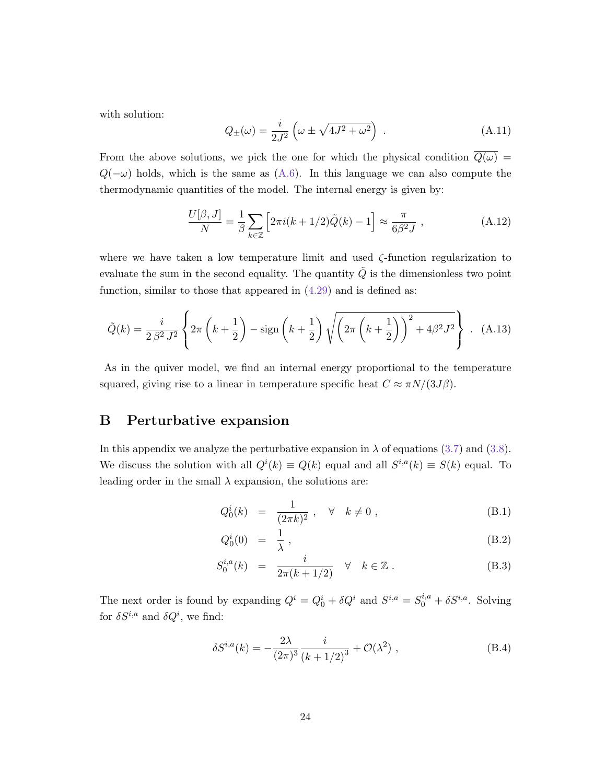with solution:

$$
Q_{\pm}(\omega) = \frac{i}{2J^2} \left( \omega \pm \sqrt{4J^2 + \omega^2} \right) . \tag{A.11}
$$

From the above solutions, we pick the one for which the physical condition  $\overline{Q(\omega)}$  =  $Q(-\omega)$  holds, which is the same as [\(A.6\)](#page-23-0). In this language we can also compute the thermodynamic quantities of the model. The internal energy is given by:

$$
\frac{U[\beta, J]}{N} = \frac{1}{\beta} \sum_{k \in \mathbb{Z}} \left[ 2\pi i (k + 1/2) \tilde{Q}(k) - 1 \right] \approx \frac{\pi}{6\beta^2 J} , \qquad (A.12)
$$

where we have taken a low temperature limit and used  $\zeta$ -function regularization to evaluate the sum in the second equality. The quantity  $Q$  is the dimensionless two point function, similar to those that appeared in  $(4.29)$  and is defined as:

$$
\tilde{Q}(k) = \frac{i}{2\beta^2 J^2} \left\{ 2\pi \left( k + \frac{1}{2} \right) - \text{sign}\left( k + \frac{1}{2} \right) \sqrt{\left( 2\pi \left( k + \frac{1}{2} \right) \right)^2 + 4\beta^2 J^2} \right\} .
$$
 (A.13)

As in the quiver model, we find an internal energy proportional to the temperature squared, giving rise to a linear in temperature specific heat  $C \approx \pi N/(3J\beta)$ .

### <span id="page-24-0"></span>B Perturbative expansion

In this appendix we analyze the perturbative expansion in  $\lambda$  of equations [\(3.7\)](#page-11-2) and [\(3.8\)](#page-11-3). We discuss the solution with all  $Q^{i}(k) \equiv Q(k)$  equal and all  $S^{i,a}(k) \equiv S(k)$  equal. To leading order in the small  $\lambda$  expansion, the solutions are:

$$
Q_0^i(k) = \frac{1}{(2\pi k)^2}, \quad \forall \quad k \neq 0 , \tag{B.1}
$$

$$
Q_0^i(0) = \frac{1}{\lambda}, \qquad (B.2)
$$

$$
S_0^{i,a}(k) = \frac{i}{2\pi(k+1/2)} \quad \forall \quad k \in \mathbb{Z} \ . \tag{B.3}
$$

The next order is found by expanding  $Q^i = Q_0^i + \delta Q^i$  and  $S^{i,a} = S_0^{i,a} + \delta S^{i,a}$ . Solving for  $\delta S^{i,a}$  and  $\delta Q^i$ , we find:

$$
\delta S^{i,a}(k) = -\frac{2\lambda}{(2\pi)^3} \frac{i}{(k+1/2)^3} + \mathcal{O}(\lambda^2) , \qquad (B.4)
$$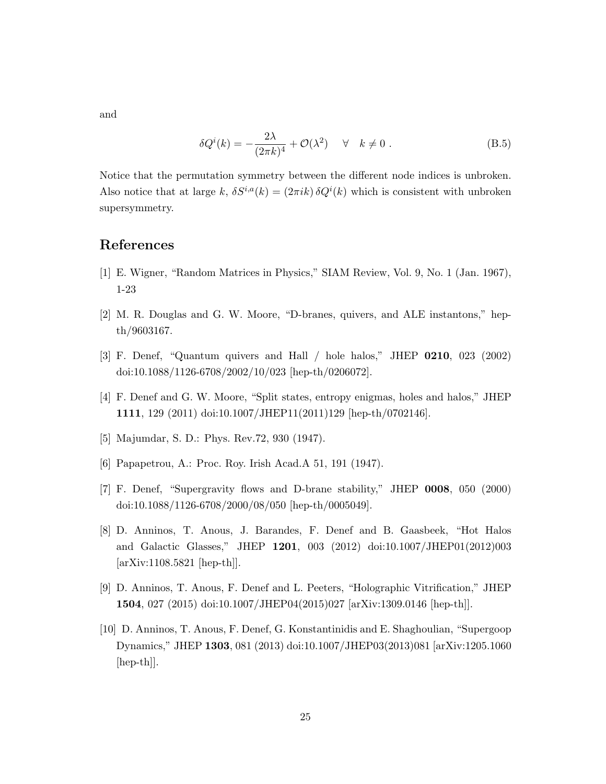and

$$
\delta Q^{i}(k) = -\frac{2\lambda}{(2\pi k)^{4}} + \mathcal{O}(\lambda^{2}) \quad \forall \quad k \neq 0.
$$
 (B.5)

Notice that the permutation symmetry between the different node indices is unbroken. Also notice that at large k,  $\delta S^{i,a}(k) = (2\pi i k) \delta Q^{i}(k)$  which is consistent with unbroken supersymmetry.

# References

- <span id="page-25-0"></span>[1] E. Wigner, "Random Matrices in Physics," SIAM Review, Vol. 9, No. 1 (Jan. 1967), 1-23
- <span id="page-25-1"></span>[2] M. R. Douglas and G. W. Moore, "D-branes, quivers, and ALE instantons," hepth/9603167.
- <span id="page-25-2"></span>[3] F. Denef, "Quantum quivers and Hall / hole halos," JHEP 0210, 023 (2002) doi:10.1088/1126-6708/2002/10/023 [hep-th/0206072].
- <span id="page-25-3"></span>[4] F. Denef and G. W. Moore, "Split states, entropy enigmas, holes and halos," JHEP 1111, 129 (2011) doi:10.1007/JHEP11(2011)129 [hep-th/0702146].
- <span id="page-25-4"></span>[5] Majumdar, S. D.: Phys. Rev.72, 930 (1947).
- [6] Papapetrou, A.: Proc. Roy. Irish Acad.A 51, 191 (1947).
- [7] F. Denef, "Supergravity flows and D-brane stability," JHEP 0008, 050 (2000) doi:10.1088/1126-6708/2000/08/050 [hep-th/0005049].
- [8] D. Anninos, T. Anous, J. Barandes, F. Denef and B. Gaasbeek, "Hot Halos and Galactic Glasses," JHEP 1201, 003 (2012) doi:10.1007/JHEP01(2012)003 [arXiv:1108.5821 [hep-th]].
- <span id="page-25-5"></span>[9] D. Anninos, T. Anous, F. Denef and L. Peeters, "Holographic Vitrification," JHEP 1504, 027 (2015) doi:10.1007/JHEP04(2015)027 [arXiv:1309.0146 [hep-th]].
- <span id="page-25-6"></span>[10] D. Anninos, T. Anous, F. Denef, G. Konstantinidis and E. Shaghoulian, "Supergoop Dynamics," JHEP 1303, 081 (2013) doi:10.1007/JHEP03(2013)081 [arXiv:1205.1060 [hep-th]].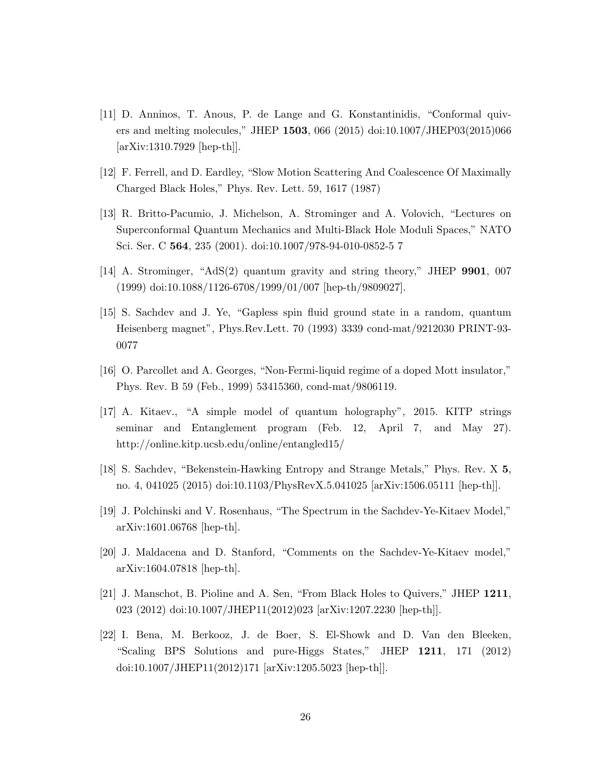- <span id="page-26-0"></span>[11] D. Anninos, T. Anous, P. de Lange and G. Konstantinidis, "Conformal quivers and melting molecules," JHEP 1503, 066 (2015) doi:10.1007/JHEP03(2015)066 [arXiv:1310.7929 [hep-th]].
- <span id="page-26-1"></span>[12] F. Ferrell, and D. Eardley, "Slow Motion Scattering And Coalescence Of Maximally Charged Black Holes," Phys. Rev. Lett. 59, 1617 (1987)
- <span id="page-26-2"></span>[13] R. Britto-Pacumio, J. Michelson, A. Strominger and A. Volovich, "Lectures on Superconformal Quantum Mechanics and Multi-Black Hole Moduli Spaces," NATO Sci. Ser. C 564, 235 (2001). doi:10.1007/978-94-010-0852-5 7
- <span id="page-26-3"></span>[14] A. Strominger, "AdS(2) quantum gravity and string theory," JHEP 9901, 007 (1999) doi:10.1088/1126-6708/1999/01/007 [hep-th/9809027].
- <span id="page-26-4"></span>[15] S. Sachdev and J. Ye, "Gapless spin fluid ground state in a random, quantum Heisenberg magnet", Phys.Rev.Lett. 70 (1993) 3339 cond-mat/9212030 PRINT-93- 0077
- [16] O. Parcollet and A. Georges, "Non-Fermi-liquid regime of a doped Mott insulator," Phys. Rev. B 59 (Feb., 1999) 53415360, cond-mat/9806119.
- [17] A. Kitaev., "A simple model of quantum holography", 2015. KITP strings seminar and Entanglement program (Feb. 12, April 7, and May 27). http://online.kitp.ucsb.edu/online/entangled15/
- <span id="page-26-7"></span>[18] S. Sachdev, "Bekenstein-Hawking Entropy and Strange Metals," Phys. Rev. X 5, no. 4, 041025 (2015) doi:10.1103/PhysRevX.5.041025 [arXiv:1506.05111 [hep-th]].
- [19] J. Polchinski and V. Rosenhaus, "The Spectrum in the Sachdev-Ye-Kitaev Model," arXiv:1601.06768 [hep-th].
- <span id="page-26-5"></span>[20] J. Maldacena and D. Stanford, "Comments on the Sachdev-Ye-Kitaev model," arXiv:1604.07818 [hep-th].
- <span id="page-26-6"></span>[21] J. Manschot, B. Pioline and A. Sen, "From Black Holes to Quivers," JHEP 1211, 023 (2012) doi:10.1007/JHEP11(2012)023 [arXiv:1207.2230 [hep-th]].
- [22] I. Bena, M. Berkooz, J. de Boer, S. El-Showk and D. Van den Bleeken, "Scaling BPS Solutions and pure-Higgs States," JHEP 1211, 171 (2012) doi:10.1007/JHEP11(2012)171 [arXiv:1205.5023 [hep-th]].